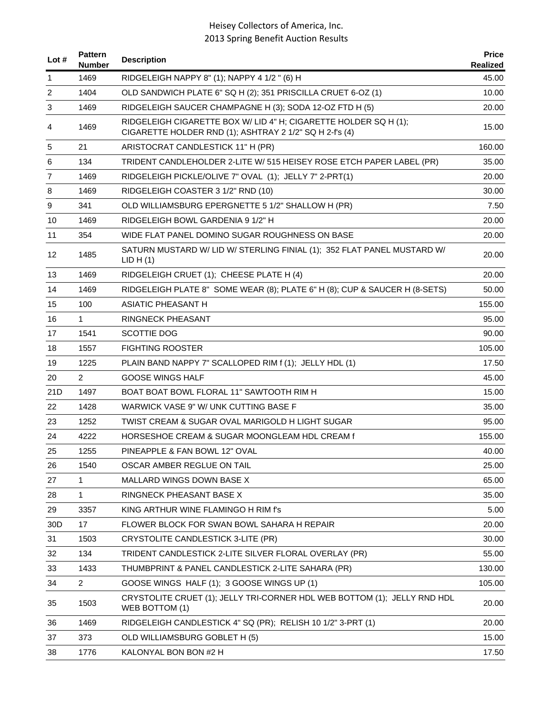| Lot $#$           | <b>Pattern</b><br>Number | <b>Description</b>                                                                                                          | <b>Price</b><br>Realized |
|-------------------|--------------------------|-----------------------------------------------------------------------------------------------------------------------------|--------------------------|
| 1                 | 1469                     | RIDGELEIGH NAPPY 8" (1); NAPPY 4 1/2 " (6) H                                                                                | 45.00                    |
| 2                 | 1404                     | OLD SANDWICH PLATE 6" SQ H (2); 351 PRISCILLA CRUET 6-OZ (1)                                                                | 10.00                    |
| 3                 | 1469                     | RIDGELEIGH SAUCER CHAMPAGNE H (3); SODA 12-OZ FTD H (5)                                                                     | 20.00                    |
| 4                 | 1469                     | RIDGELEIGH CIGARETTE BOX W/ LID 4" H; CIGARETTE HOLDER SQ H (1);<br>CIGARETTE HOLDER RND (1); ASHTRAY 2 1/2" SQ H 2-f's (4) | 15.00                    |
| 5                 | 21                       | ARISTOCRAT CANDLESTICK 11" H (PR)                                                                                           | 160.00                   |
| 6                 | 134                      | TRIDENT CANDLEHOLDER 2-LITE W/ 515 HEISEY ROSE ETCH PAPER LABEL (PR)                                                        | 35.00                    |
| 7                 | 1469                     | RIDGELEIGH PICKLE/OLIVE 7" OVAL (1); JELLY 7" 2-PRT(1)                                                                      | 20.00                    |
| 8                 | 1469                     | RIDGELEIGH COASTER 3 1/2" RND (10)                                                                                          | 30.00                    |
| 9                 | 341                      | OLD WILLIAMSBURG EPERGNETTE 5 1/2" SHALLOW H (PR)                                                                           | 7.50                     |
| 10                | 1469                     | RIDGELEIGH BOWL GARDENIA 9 1/2" H                                                                                           | 20.00                    |
| 11                | 354                      | WIDE FLAT PANEL DOMINO SUGAR ROUGHNESS ON BASE                                                                              | 20.00                    |
| $12 \overline{ }$ | 1485                     | SATURN MUSTARD W/ LID W/ STERLING FINIAL (1); 352 FLAT PANEL MUSTARD W/<br>LID H(1)                                         | 20.00                    |
| 13                | 1469                     | RIDGELEIGH CRUET (1); CHEESE PLATE H (4)                                                                                    | 20.00                    |
| 14                | 1469                     | RIDGELEIGH PLATE 8" SOME WEAR (8); PLATE 6" H (8); CUP & SAUCER H (8-SETS)                                                  | 50.00                    |
| 15                | 100                      | ASIATIC PHEASANT H                                                                                                          | 155.00                   |
| 16                | $\mathbf{1}$             | <b>RINGNECK PHEASANT</b>                                                                                                    | 95.00                    |
| 17                | 1541                     | <b>SCOTTIE DOG</b>                                                                                                          | 90.00                    |
| 18                | 1557                     | <b>FIGHTING ROOSTER</b>                                                                                                     | 105.00                   |
| 19                | 1225                     | PLAIN BAND NAPPY 7" SCALLOPED RIM f (1); JELLY HDL (1)                                                                      | 17.50                    |
| 20                | $\overline{2}$           | <b>GOOSE WINGS HALF</b>                                                                                                     | 45.00                    |
| 21D               | 1497                     | BOAT BOAT BOWL FLORAL 11" SAWTOOTH RIM H                                                                                    | 15.00                    |
| 22                | 1428                     | WARWICK VASE 9" W/ UNK CUTTING BASE F                                                                                       | 35.00                    |
| 23                | 1252                     | TWIST CREAM & SUGAR OVAL MARIGOLD H LIGHT SUGAR                                                                             | 95.00                    |
| 24                | 4222                     | HORSESHOE CREAM & SUGAR MOONGLEAM HDL CREAM f                                                                               | 155.00                   |
| 25                | 1255                     | PINEAPPLE & FAN BOWL 12" OVAL                                                                                               | 40.00                    |
| 26                | 1540                     | OSCAR AMBER REGLUE ON TAIL                                                                                                  | 25.00                    |
| 27                | 1                        | MALLARD WINGS DOWN BASE X                                                                                                   | 65.00                    |
| 28                | 1                        | RINGNECK PHEASANT BASE X                                                                                                    | 35.00                    |
| 29                | 3357                     | KING ARTHUR WINE FLAMINGO H RIM f's                                                                                         | 5.00                     |
| 30 <sub>D</sub>   | 17                       | FLOWER BLOCK FOR SWAN BOWL SAHARA H REPAIR                                                                                  | 20.00                    |
| 31                | 1503                     | CRYSTOLITE CANDLESTICK 3-LITE (PR)                                                                                          | 30.00                    |
| 32                | 134                      | TRIDENT CANDLESTICK 2-LITE SILVER FLORAL OVERLAY (PR)                                                                       | 55.00                    |
| 33                | 1433                     | THUMBPRINT & PANEL CANDLESTICK 2-LITE SAHARA (PR)                                                                           | 130.00                   |
| 34                | $\overline{2}$           | GOOSE WINGS HALF (1); 3 GOOSE WINGS UP (1)                                                                                  | 105.00                   |
| 35                | 1503                     | CRYSTOLITE CRUET (1); JELLY TRI-CORNER HDL WEB BOTTOM (1); JELLY RND HDL<br>WEB BOTTOM (1)                                  | 20.00                    |
| 36                | 1469                     | RIDGELEIGH CANDLESTICK 4" SQ (PR); RELISH 10 1/2" 3-PRT (1)                                                                 | 20.00                    |
| 37                | 373                      | OLD WILLIAMSBURG GOBLET H (5)                                                                                               | 15.00                    |
| 38                | 1776                     | KALONYAL BON BON #2 H                                                                                                       | 17.50                    |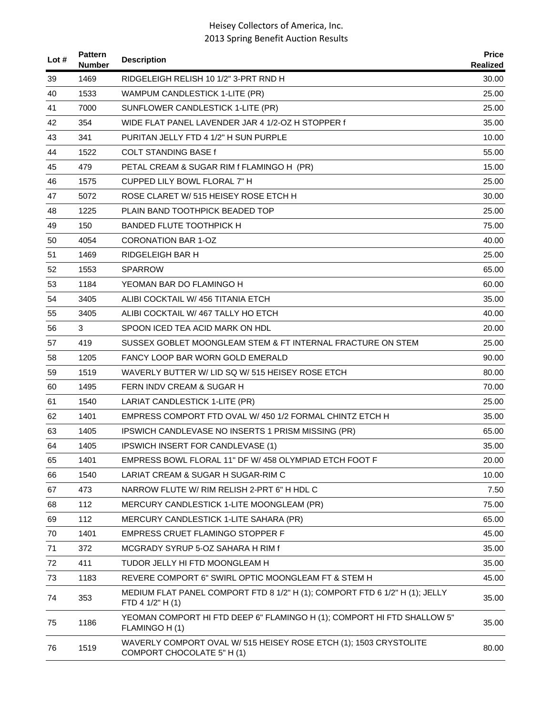| Lot $#$ | <b>Pattern</b><br><b>Number</b> | <b>Description</b>                                                                              | <b>Price</b><br><b>Realized</b> |
|---------|---------------------------------|-------------------------------------------------------------------------------------------------|---------------------------------|
| 39      | 1469                            | RIDGELEIGH RELISH 10 1/2" 3-PRT RND H                                                           | 30.00                           |
| 40      | 1533                            | WAMPUM CANDLESTICK 1-LITE (PR)                                                                  | 25.00                           |
| 41      | 7000                            | SUNFLOWER CANDLESTICK 1-LITE (PR)                                                               | 25.00                           |
| 42      | 354                             | WIDE FLAT PANEL LAVENDER JAR 4 1/2-OZ H STOPPER f                                               | 35.00                           |
| 43      | 341                             | PURITAN JELLY FTD 4 1/2" H SUN PURPLE                                                           | 10.00                           |
| 44      | 1522                            | <b>COLT STANDING BASE f</b>                                                                     | 55.00                           |
| 45      | 479                             | PETAL CREAM & SUGAR RIM f FLAMINGO H (PR)                                                       | 15.00                           |
| 46      | 1575                            | CUPPED LILY BOWL FLORAL 7" H                                                                    | 25.00                           |
| 47      | 5072                            | ROSE CLARET W/ 515 HEISEY ROSE ETCH H                                                           | 30.00                           |
| 48      | 1225                            | PLAIN BAND TOOTHPICK BEADED TOP                                                                 | 25.00                           |
| 49      | 150                             | <b>BANDED FLUTE TOOTHPICK H</b>                                                                 | 75.00                           |
| 50      | 4054                            | CORONATION BAR 1-OZ                                                                             | 40.00                           |
| 51      | 1469                            | RIDGELEIGH BAR H                                                                                | 25.00                           |
| 52      | 1553                            | <b>SPARROW</b>                                                                                  | 65.00                           |
| 53      | 1184                            | YEOMAN BAR DO FLAMINGO H                                                                        | 60.00                           |
| 54      | 3405                            | ALIBI COCKTAIL W/ 456 TITANIA ETCH                                                              | 35.00                           |
| 55      | 3405                            | ALIBI COCKTAIL W/467 TALLY HO ETCH                                                              | 40.00                           |
| 56      | 3                               | SPOON ICED TEA ACID MARK ON HDL                                                                 | 20.00                           |
| 57      | 419                             | SUSSEX GOBLET MOONGLEAM STEM & FT INTERNAL FRACTURE ON STEM                                     | 25.00                           |
| 58      | 1205                            | FANCY LOOP BAR WORN GOLD EMERALD                                                                | 90.00                           |
| 59      | 1519                            | WAVERLY BUTTER W/ LID SQ W/ 515 HEISEY ROSE ETCH                                                | 80.00                           |
| 60      | 1495                            | FERN INDV CREAM & SUGAR H                                                                       | 70.00                           |
| 61      | 1540                            | LARIAT CANDLESTICK 1-LITE (PR)                                                                  | 25.00                           |
| 62      | 1401                            | EMPRESS COMPORT FTD OVAL W/450 1/2 FORMAL CHINTZ ETCH H                                         | 35.00                           |
| 63      | 1405                            | IPSWICH CANDLEVASE NO INSERTS 1 PRISM MISSING (PR)                                              | 65.00                           |
| 64      | 1405                            | <b>IPSWICH INSERT FOR CANDLEVASE (1)</b>                                                        | 35.00                           |
| 65      | 1401                            | EMPRESS BOWL FLORAL 11" DF W/ 458 OLYMPIAD ETCH FOOT F                                          | 20.00                           |
| 66      | 1540                            | LARIAT CREAM & SUGAR H SUGAR-RIM C                                                              | 10.00                           |
| 67      | 473                             | NARROW FLUTE W/ RIM RELISH 2-PRT 6" H HDL C                                                     | 7.50                            |
| 68      | 112                             | MERCURY CANDLESTICK 1-LITE MOONGLEAM (PR)                                                       | 75.00                           |
| 69      | 112                             | MERCURY CANDLESTICK 1-LITE SAHARA (PR)                                                          | 65.00                           |
| 70      | 1401                            | EMPRESS CRUET FLAMINGO STOPPER F                                                                | 45.00                           |
| 71      | 372                             | MCGRADY SYRUP 5-OZ SAHARA H RIM f                                                               | 35.00                           |
| 72      | 411                             | TUDOR JELLY HI FTD MOONGLEAM H                                                                  | 35.00                           |
| 73      | 1183                            | REVERE COMPORT 6" SWIRL OPTIC MOONGLEAM FT & STEM H                                             | 45.00                           |
| 74      | 353                             | MEDIUM FLAT PANEL COMPORT FTD 8 1/2" H (1); COMPORT FTD 6 1/2" H (1); JELLY<br>FTD 4 1/2" H (1) | 35.00                           |
| 75      | 1186                            | YEOMAN COMPORT HI FTD DEEP 6" FLAMINGO H (1); COMPORT HI FTD SHALLOW 5"<br>FLAMINGO H (1)       | 35.00                           |
| 76      | 1519                            | WAVERLY COMPORT OVAL W/ 515 HEISEY ROSE ETCH (1); 1503 CRYSTOLITE<br>COMPORT CHOCOLATE 5" H (1) | 80.00                           |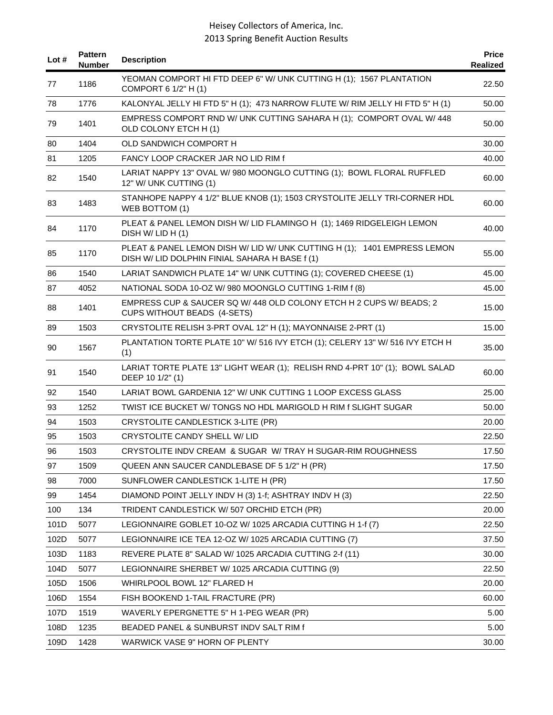| Lot # | <b>Pattern</b><br><b>Number</b> | <b>Description</b>                                                                                                         | <b>Price</b><br><b>Realized</b> |
|-------|---------------------------------|----------------------------------------------------------------------------------------------------------------------------|---------------------------------|
| 77    | 1186                            | YEOMAN COMPORT HI FTD DEEP 6" W/ UNK CUTTING H (1); 1567 PLANTATION<br>COMPORT 6 1/2" H (1)                                | 22.50                           |
| 78    | 1776                            | KALONYAL JELLY HI FTD 5" H (1); 473 NARROW FLUTE W/ RIM JELLY HI FTD 5" H (1)                                              | 50.00                           |
| 79    | 1401                            | EMPRESS COMPORT RND W/ UNK CUTTING SAHARA H (1); COMPORT OVAL W/ 448<br>OLD COLONY ETCH H (1)                              | 50.00                           |
| 80    | 1404                            | OLD SANDWICH COMPORT H                                                                                                     | 30.00                           |
| 81    | 1205                            | FANCY LOOP CRACKER JAR NO LID RIM f                                                                                        | 40.00                           |
| 82    | 1540                            | LARIAT NAPPY 13" OVAL W/ 980 MOONGLO CUTTING (1); BOWL FLORAL RUFFLED<br>12" W/ UNK CUTTING (1)                            | 60.00                           |
| 83    | 1483                            | STANHOPE NAPPY 4 1/2" BLUE KNOB (1); 1503 CRYSTOLITE JELLY TRI-CORNER HDL<br>WEB BOTTOM (1)                                | 60.00                           |
| 84    | 1170                            | PLEAT & PANEL LEMON DISH W/ LID FLAMINGO H (1); 1469 RIDGELEIGH LEMON<br>DISH W/ LID H (1)                                 | 40.00                           |
| 85    | 1170                            | PLEAT & PANEL LEMON DISH W/ LID W/ UNK CUTTING H (1); 1401 EMPRESS LEMON<br>DISH W/ LID DOLPHIN FINIAL SAHARA H BASE f (1) | 55.00                           |
| 86    | 1540                            | LARIAT SANDWICH PLATE 14" W/ UNK CUTTING (1); COVERED CHEESE (1)                                                           | 45.00                           |
| 87    | 4052                            | NATIONAL SODA 10-OZ W/980 MOONGLO CUTTING 1-RIM f (8)                                                                      | 45.00                           |
| 88    | 1401                            | EMPRESS CUP & SAUCER SQ W/ 448 OLD COLONY ETCH H 2 CUPS W/ BEADS; 2<br>CUPS WITHOUT BEADS (4-SETS)                         | 15.00                           |
| 89    | 1503                            | CRYSTOLITE RELISH 3-PRT OVAL 12" H (1); MAYONNAISE 2-PRT (1)                                                               | 15.00                           |
| 90    | 1567                            | PLANTATION TORTE PLATE 10" W/ 516 IVY ETCH (1); CELERY 13" W/ 516 IVY ETCH H<br>(1)                                        | 35.00                           |
| 91    | 1540                            | LARIAT TORTE PLATE 13" LIGHT WEAR (1); RELISH RND 4-PRT 10" (1); BOWL SALAD<br>DEEP 10 1/2" (1)                            | 60.00                           |
| 92    | 1540                            | LARIAT BOWL GARDENIA 12" W/ UNK CUTTING 1 LOOP EXCESS GLASS                                                                | 25.00                           |
| 93    | 1252                            | TWIST ICE BUCKET W/ TONGS NO HDL MARIGOLD H RIM f SLIGHT SUGAR                                                             | 50.00                           |
| 94    | 1503                            | CRYSTOLITE CANDLESTICK 3-LITE (PR)                                                                                         | 20.00                           |
| 95    | 1503                            | CRYSTOLITE CANDY SHELL W/ LID                                                                                              | 22.50                           |
| 96    | 1503                            | CRYSTOLITE INDV CREAM & SUGAR W/ TRAY H SUGAR-RIM ROUGHNESS                                                                | 17.50                           |
| 97    | 1509                            | QUEEN ANN SAUCER CANDLEBASE DF 5 1/2" H (PR)                                                                               | 17.50                           |
| 98    | 7000                            | SUNFLOWER CANDLESTICK 1-LITE H (PR)                                                                                        | 17.50                           |
| 99    | 1454                            | DIAMOND POINT JELLY INDV H (3) 1-f; ASHTRAY INDV H (3)                                                                     | 22.50                           |
| 100   | 134                             | TRIDENT CANDLESTICK W/ 507 ORCHID ETCH (PR)                                                                                | 20.00                           |
| 101D  | 5077                            | LEGIONNAIRE GOBLET 10-OZ W/ 1025 ARCADIA CUTTING H 1-f (7)                                                                 | 22.50                           |
| 102D  | 5077                            | LEGIONNAIRE ICE TEA 12-OZ W/ 1025 ARCADIA CUTTING (7)                                                                      | 37.50                           |
| 103D  | 1183                            | REVERE PLATE 8" SALAD W/ 1025 ARCADIA CUTTING 2-f (11)                                                                     | 30.00                           |
| 104D  | 5077                            | LEGIONNAIRE SHERBET W/ 1025 ARCADIA CUTTING (9)                                                                            | 22.50                           |
| 105D  | 1506                            | WHIRLPOOL BOWL 12" FLARED H                                                                                                | 20.00                           |
| 106D  | 1554                            | FISH BOOKEND 1-TAIL FRACTURE (PR)                                                                                          | 60.00                           |
| 107D  | 1519                            | WAVERLY EPERGNETTE 5" H 1-PEG WEAR (PR)                                                                                    | 5.00                            |
| 108D  | 1235                            | BEADED PANEL & SUNBURST INDV SALT RIM f                                                                                    | 5.00                            |
| 109D  | 1428                            | WARWICK VASE 9" HORN OF PLENTY                                                                                             | 30.00                           |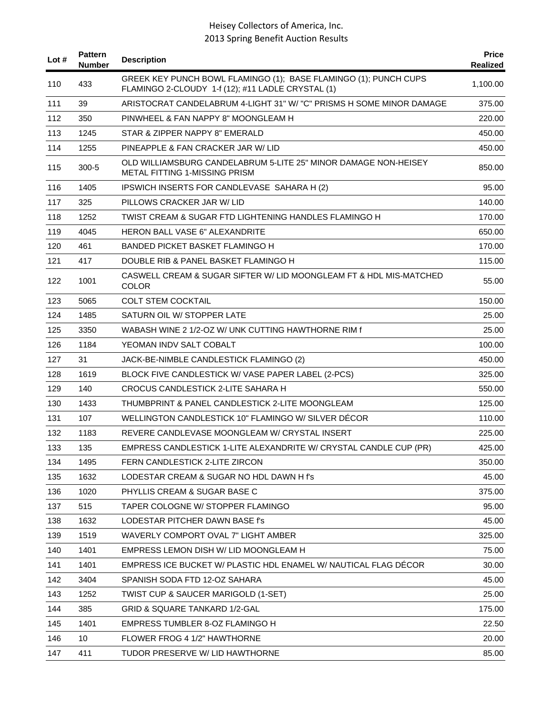| Lot # | <b>Pattern</b><br><b>Number</b> | <b>Description</b>                                                                                                    | <b>Price</b><br><b>Realized</b> |
|-------|---------------------------------|-----------------------------------------------------------------------------------------------------------------------|---------------------------------|
| 110   | 433                             | GREEK KEY PUNCH BOWL FLAMINGO (1); BASE FLAMINGO (1); PUNCH CUPS<br>FLAMINGO 2-CLOUDY 1-f (12); #11 LADLE CRYSTAL (1) | 1,100.00                        |
| 111   | 39                              | ARISTOCRAT CANDELABRUM 4-LIGHT 31" W/ "C" PRISMS H SOME MINOR DAMAGE                                                  | 375.00                          |
| 112   | 350                             | PINWHEEL & FAN NAPPY 8" MOONGLEAM H                                                                                   | 220.00                          |
| 113   | 1245                            | STAR & ZIPPER NAPPY 8" EMERALD                                                                                        | 450.00                          |
| 114   | 1255                            | PINEAPPLE & FAN CRACKER JAR W/ LID                                                                                    | 450.00                          |
| 115   | $300 - 5$                       | OLD WILLIAMSBURG CANDELABRUM 5-LITE 25" MINOR DAMAGE NON-HEISEY<br><b>METAL FITTING 1-MISSING PRISM</b>               | 850.00                          |
| 116   | 1405                            | IPSWICH INSERTS FOR CANDLEVASE SAHARA H (2)                                                                           | 95.00                           |
| 117   | 325                             | PILLOWS CRACKER JAR W/ LID                                                                                            | 140.00                          |
| 118   | 1252                            | TWIST CREAM & SUGAR FTD LIGHTENING HANDLES FLAMINGO H                                                                 | 170.00                          |
| 119   | 4045                            | <b>HERON BALL VASE 6" ALEXANDRITE</b>                                                                                 | 650.00                          |
| 120   | 461                             | BANDED PICKET BASKET FLAMINGO H                                                                                       | 170.00                          |
| 121   | 417                             | DOUBLE RIB & PANEL BASKET FLAMINGO H                                                                                  | 115.00                          |
| 122   | 1001                            | CASWELL CREAM & SUGAR SIFTER W/ LID MOONGLEAM FT & HDL MIS-MATCHED<br><b>COLOR</b>                                    | 55.00                           |
| 123   | 5065                            | <b>COLT STEM COCKTAIL</b>                                                                                             | 150.00                          |
| 124   | 1485                            | SATURN OIL W/ STOPPER LATE                                                                                            | 25.00                           |
| 125   | 3350                            | WABASH WINE 2 1/2-OZ W/ UNK CUTTING HAWTHORNE RIM f                                                                   | 25.00                           |
| 126   | 1184                            | YEOMAN INDV SALT COBALT                                                                                               | 100.00                          |
| 127   | 31                              | JACK-BE-NIMBLE CANDLESTICK FLAMINGO (2)                                                                               | 450.00                          |
| 128   | 1619                            | BLOCK FIVE CANDLESTICK W/ VASE PAPER LABEL (2-PCS)                                                                    | 325.00                          |
| 129   | 140                             | CROCUS CANDLESTICK 2-LITE SAHARA H                                                                                    | 550.00                          |
| 130   | 1433                            | THUMBPRINT & PANEL CANDLESTICK 2-LITE MOONGLEAM                                                                       | 125.00                          |
| 131   | 107                             | WELLINGTON CANDLESTICK 10" FLAMINGO W/ SILVER DÉCOR                                                                   | 110.00                          |
| 132   | 1183                            | REVERE CANDLEVASE MOONGLEAM W/ CRYSTAL INSERT                                                                         | 225.00                          |
| 133   | 135                             | EMPRESS CANDLESTICK 1-LITE ALEXANDRITE W/ CRYSTAL CANDLE CUP (PR)                                                     | 425.00                          |
| 134   | 1495                            | FERN CANDLESTICK 2-LITE ZIRCON                                                                                        | 350.00                          |
| 135   | 1632                            | LODESTAR CREAM & SUGAR NO HDL DAWN H f's                                                                              | 45.00                           |
| 136   | 1020                            | PHYLLIS CREAM & SUGAR BASE C                                                                                          | 375.00                          |
| 137   | 515                             | TAPER COLOGNE W/ STOPPER FLAMINGO                                                                                     | 95.00                           |
| 138   | 1632                            | LODESTAR PITCHER DAWN BASE f's                                                                                        | 45.00                           |
| 139   | 1519                            | WAVERLY COMPORT OVAL 7" LIGHT AMBER                                                                                   | 325.00                          |
| 140   | 1401                            | EMPRESS LEMON DISH W/ LID MOONGLEAM H                                                                                 | 75.00                           |
| 141   | 1401                            | EMPRESS ICE BUCKET W/ PLASTIC HDL ENAMEL W/ NAUTICAL FLAG DECOR                                                       | 30.00                           |
| 142   | 3404                            | SPANISH SODA FTD 12-OZ SAHARA                                                                                         | 45.00                           |
| 143   | 1252                            | TWIST CUP & SAUCER MARIGOLD (1-SET)                                                                                   | 25.00                           |
| 144   | 385                             | <b>GRID &amp; SQUARE TANKARD 1/2-GAL</b>                                                                              | 175.00                          |
| 145   | 1401                            | EMPRESS TUMBLER 8-OZ FLAMINGO H                                                                                       | 22.50                           |
| 146   | 10                              | FLOWER FROG 4 1/2" HAWTHORNE                                                                                          | 20.00                           |
| 147   | 411                             | TUDOR PRESERVE W/ LID HAWTHORNE                                                                                       | 85.00                           |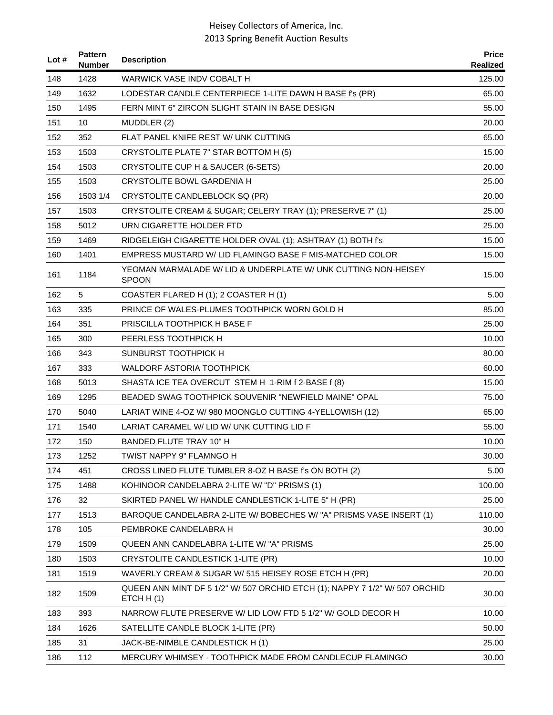| Lot # | <b>Pattern</b><br><b>Number</b> | <b>Description</b>                                                                         | <b>Price</b><br>Realized |
|-------|---------------------------------|--------------------------------------------------------------------------------------------|--------------------------|
| 148   | 1428                            | WARWICK VASE INDV COBALT H                                                                 | 125.00                   |
| 149   | 1632                            | LODESTAR CANDLE CENTERPIECE 1-LITE DAWN H BASE f's (PR)                                    | 65.00                    |
| 150   | 1495                            | FERN MINT 6" ZIRCON SLIGHT STAIN IN BASE DESIGN                                            | 55.00                    |
| 151   | 10                              | MUDDLER (2)                                                                                | 20.00                    |
| 152   | 352                             | FLAT PANEL KNIFE REST W/ UNK CUTTING                                                       | 65.00                    |
| 153   | 1503                            | CRYSTOLITE PLATE 7" STAR BOTTOM H (5)                                                      | 15.00                    |
| 154   | 1503                            | CRYSTOLITE CUP H & SAUCER (6-SETS)                                                         | 20.00                    |
| 155   | 1503                            | <b>CRYSTOLITE BOWL GARDENIA H</b>                                                          | 25.00                    |
| 156   | 1503 1/4                        | CRYSTOLITE CANDLEBLOCK SQ (PR)                                                             | 20.00                    |
| 157   | 1503                            | CRYSTOLITE CREAM & SUGAR; CELERY TRAY (1); PRESERVE 7" (1)                                 | 25.00                    |
| 158   | 5012                            | URN CIGARETTE HOLDER FTD                                                                   | 25.00                    |
| 159   | 1469                            | RIDGELEIGH CIGARETTE HOLDER OVAL (1); ASHTRAY (1) BOTH f's                                 | 15.00                    |
| 160   | 1401                            | EMPRESS MUSTARD W/ LID FLAMINGO BASE F MIS-MATCHED COLOR                                   | 15.00                    |
| 161   | 1184                            | YEOMAN MARMALADE W/ LID & UNDERPLATE W/ UNK CUTTING NON-HEISEY<br><b>SPOON</b>             | 15.00                    |
| 162   | 5                               | COASTER FLARED H (1); 2 COASTER H (1)                                                      | 5.00                     |
| 163   | 335                             | PRINCE OF WALES-PLUMES TOOTHPICK WORN GOLD H                                               | 85.00                    |
| 164   | 351                             | PRISCILLA TOOTHPICK H BASE F                                                               | 25.00                    |
| 165   | 300                             | PEERLESS TOOTHPICK H                                                                       | 10.00                    |
| 166   | 343                             | SUNBURST TOOTHPICK H                                                                       | 80.00                    |
| 167   | 333                             | <b>WALDORF ASTORIA TOOTHPICK</b>                                                           | 60.00                    |
| 168   | 5013                            | SHASTA ICE TEA OVERCUT STEM H 1-RIM f 2-BASE f (8)                                         | 15.00                    |
| 169   | 1295                            | BEADED SWAG TOOTHPICK SOUVENIR "NEWFIELD MAINE" OPAL                                       | 75.00                    |
| 170   | 5040                            | LARIAT WINE 4-OZ W/980 MOONGLO CUTTING 4-YELLOWISH (12)                                    | 65.00                    |
| 171   | 1540                            | LARIAT CARAMEL W/ LID W/ UNK CUTTING LID F                                                 | 55.00                    |
| 172   | 150                             | BANDED FLUTE TRAY 10" H                                                                    | 10.00                    |
| 173   | 1252                            | TWIST NAPPY 9" FLAMNGO H                                                                   | 30.00                    |
| 174   | 451                             | CROSS LINED FLUTE TUMBLER 8-OZ H BASE f's ON BOTH (2)                                      | 5.00                     |
| 175   | 1488                            | KOHINOOR CANDELABRA 2-LITE W/ "D" PRISMS (1)                                               | 100.00                   |
| 176   | 32                              | SKIRTED PANEL W/ HANDLE CANDLESTICK 1-LITE 5" H (PR)                                       | 25.00                    |
| 177   | 1513                            | BAROQUE CANDELABRA 2-LITE W/ BOBECHES W/ "A" PRISMS VASE INSERT (1)                        | 110.00                   |
| 178   | 105                             | PEMBROKE CANDELABRA H                                                                      | 30.00                    |
| 179   | 1509                            | QUEEN ANN CANDELABRA 1-LITE W/ "A" PRISMS                                                  | 25.00                    |
| 180   | 1503                            | CRYSTOLITE CANDLESTICK 1-LITE (PR)                                                         | 10.00                    |
| 181   | 1519                            | WAVERLY CREAM & SUGAR W/ 515 HEISEY ROSE ETCH H (PR)                                       | 20.00                    |
| 182   | 1509                            | QUEEN ANN MINT DF 5 1/2" W/ 507 ORCHID ETCH (1); NAPPY 7 1/2" W/ 507 ORCHID<br>ETCH $H(1)$ | 30.00                    |
| 183   | 393                             | NARROW FLUTE PRESERVE W/ LID LOW FTD 5 1/2" W/ GOLD DECOR H                                | 10.00                    |
| 184   | 1626                            | SATELLITE CANDLE BLOCK 1-LITE (PR)                                                         | 50.00                    |
| 185   | 31                              | JACK-BE-NIMBLE CANDLESTICK H (1)                                                           | 25.00                    |
| 186   | 112                             | MERCURY WHIMSEY - TOOTHPICK MADE FROM CANDLECUP FLAMINGO                                   | 30.00                    |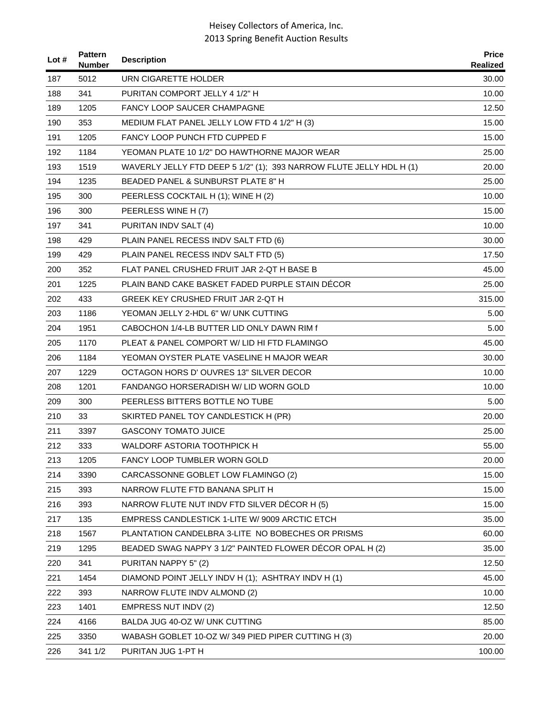| Lot $#$ | <b>Pattern</b><br>Number | <b>Description</b>                                                  | <b>Price</b><br>Realized |
|---------|--------------------------|---------------------------------------------------------------------|--------------------------|
| 187     | 5012                     | URN CIGARETTE HOLDER                                                | 30.00                    |
| 188     | 341                      | PURITAN COMPORT JELLY 4 1/2" H                                      | 10.00                    |
| 189     | 1205                     | <b>FANCY LOOP SAUCER CHAMPAGNE</b>                                  | 12.50                    |
| 190     | 353                      | MEDIUM FLAT PANEL JELLY LOW FTD 4 1/2" H (3)                        | 15.00                    |
| 191     | 1205                     | <b>FANCY LOOP PUNCH FTD CUPPED F</b>                                | 15.00                    |
| 192     | 1184                     | YEOMAN PLATE 10 1/2" DO HAWTHORNE MAJOR WEAR                        | 25.00                    |
| 193     | 1519                     | WAVERLY JELLY FTD DEEP 5 1/2" (1); 393 NARROW FLUTE JELLY HDL H (1) | 20.00                    |
| 194     | 1235                     | BEADED PANEL & SUNBURST PLATE 8" H                                  | 25.00                    |
| 195     | 300                      | PEERLESS COCKTAIL H (1); WINE H (2)                                 | 10.00                    |
| 196     | 300                      | PEERLESS WINE H (7)                                                 | 15.00                    |
| 197     | 341                      | PURITAN INDV SALT (4)                                               | 10.00                    |
| 198     | 429                      | PLAIN PANEL RECESS INDV SALT FTD (6)                                | 30.00                    |
| 199     | 429                      | PLAIN PANEL RECESS INDV SALT FTD (5)                                | 17.50                    |
| 200     | 352                      | FLAT PANEL CRUSHED FRUIT JAR 2-QT H BASE B                          | 45.00                    |
| 201     | 1225                     | PLAIN BAND CAKE BASKET FADED PURPLE STAIN DÉCOR                     | 25.00                    |
| 202     | 433                      | GREEK KEY CRUSHED FRUIT JAR 2-QT H                                  | 315.00                   |
| 203     | 1186                     | YEOMAN JELLY 2-HDL 6" W/ UNK CUTTING                                | 5.00                     |
| 204     | 1951                     | CABOCHON 1/4-LB BUTTER LID ONLY DAWN RIM f                          | 5.00                     |
| 205     | 1170                     | PLEAT & PANEL COMPORT W/ LID HI FTD FLAMINGO                        | 45.00                    |
| 206     | 1184                     | YEOMAN OYSTER PLATE VASELINE H MAJOR WEAR                           | 30.00                    |
| 207     | 1229                     | OCTAGON HORS D' OUVRES 13" SILVER DECOR                             | 10.00                    |
| 208     | 1201                     | FANDANGO HORSERADISH W/ LID WORN GOLD                               | 10.00                    |
| 209     | 300                      | PEERLESS BITTERS BOTTLE NO TUBE                                     | 5.00                     |
| 210     | 33                       | SKIRTED PANEL TOY CANDLESTICK H (PR)                                | 20.00                    |
| 211     | 3397                     | <b>GASCONY TOMATO JUICE</b>                                         | 25.00                    |
| 212     | 333                      | WALDORF ASTORIA TOOTHPICK H                                         | 55.00                    |
| 213     | 1205                     | FANCY LOOP TUMBLER WORN GOLD                                        | 20.00                    |
| 214     | 3390                     | CARCASSONNE GOBLET LOW FLAMINGO (2)                                 | 15.00                    |
| 215     | 393                      | NARROW FLUTE FTD BANANA SPLIT H                                     | 15.00                    |
| 216     | 393                      | NARROW FLUTE NUT INDV FTD SILVER DECOR H (5)                        | 15.00                    |
| 217     | 135                      | EMPRESS CANDLESTICK 1-LITE W/ 9009 ARCTIC ETCH                      | 35.00                    |
| 218     | 1567                     | PLANTATION CANDELBRA 3-LITE NO BOBECHES OR PRISMS                   | 60.00                    |
| 219     | 1295                     | BEADED SWAG NAPPY 3 1/2" PAINTED FLOWER DÉCOR OPAL H (2)            | 35.00                    |
| 220     | 341                      | PURITAN NAPPY 5" (2)                                                | 12.50                    |
| 221     | 1454                     | DIAMOND POINT JELLY INDV H (1); ASHTRAY INDV H (1)                  | 45.00                    |
| 222     | 393                      | NARROW FLUTE INDV ALMOND (2)                                        | 10.00                    |
| 223     | 1401                     | <b>EMPRESS NUT INDV (2)</b>                                         | 12.50                    |
| 224     | 4166                     | BALDA JUG 40-OZ W/ UNK CUTTING                                      | 85.00                    |
| 225     | 3350                     | WABASH GOBLET 10-OZ W/349 PIED PIPER CUTTING H (3)                  | 20.00                    |
| 226     | 341 1/2                  | PURITAN JUG 1-PT H                                                  | 100.00                   |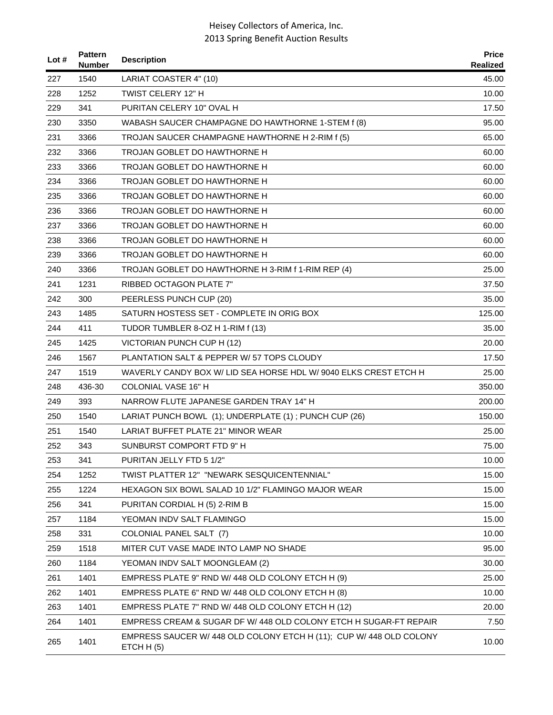| Lot # | <b>Pattern</b><br><b>Number</b> | <b>Description</b>                                                               | <b>Price</b><br>Realized |
|-------|---------------------------------|----------------------------------------------------------------------------------|--------------------------|
| 227   | 1540                            | LARIAT COASTER 4" (10)                                                           | 45.00                    |
| 228   | 1252                            | TWIST CELERY 12" H                                                               | 10.00                    |
| 229   | 341                             | PURITAN CELERY 10" OVAL H                                                        | 17.50                    |
| 230   | 3350                            | WABASH SAUCER CHAMPAGNE DO HAWTHORNE 1-STEM f (8)                                | 95.00                    |
| 231   | 3366                            | TROJAN SAUCER CHAMPAGNE HAWTHORNE H 2-RIM f (5)                                  | 65.00                    |
| 232   | 3366                            | TROJAN GOBLET DO HAWTHORNE H                                                     | 60.00                    |
| 233   | 3366                            | TROJAN GOBLET DO HAWTHORNE H                                                     | 60.00                    |
| 234   | 3366                            | TROJAN GOBLET DO HAWTHORNE H                                                     | 60.00                    |
| 235   | 3366                            | TROJAN GOBLET DO HAWTHORNE H                                                     | 60.00                    |
| 236   | 3366                            | TROJAN GOBLET DO HAWTHORNE H                                                     | 60.00                    |
| 237   | 3366                            | TROJAN GOBLET DO HAWTHORNE H                                                     | 60.00                    |
| 238   | 3366                            | TROJAN GOBLET DO HAWTHORNE H                                                     | 60.00                    |
| 239   | 3366                            | TROJAN GOBLET DO HAWTHORNE H                                                     | 60.00                    |
| 240   | 3366                            | TROJAN GOBLET DO HAWTHORNE H 3-RIM f 1-RIM REP (4)                               | 25.00                    |
| 241   | 1231                            | <b>RIBBED OCTAGON PLATE 7"</b>                                                   | 37.50                    |
| 242   | 300                             | PEERLESS PUNCH CUP (20)                                                          | 35.00                    |
| 243   | 1485                            | SATURN HOSTESS SET - COMPLETE IN ORIG BOX                                        | 125.00                   |
| 244   | 411                             | TUDOR TUMBLER 8-OZ H 1-RIM f (13)                                                | 35.00                    |
| 245   | 1425                            | VICTORIAN PUNCH CUP H (12)                                                       | 20.00                    |
| 246   | 1567                            | PLANTATION SALT & PEPPER W/ 57 TOPS CLOUDY                                       | 17.50                    |
| 247   | 1519                            | WAVERLY CANDY BOX W/ LID SEA HORSE HDL W/ 9040 ELKS CREST ETCH H                 | 25.00                    |
| 248   | 436-30                          | <b>COLONIAL VASE 16" H</b>                                                       | 350.00                   |
| 249   | 393                             | NARROW FLUTE JAPANESE GARDEN TRAY 14" H                                          | 200.00                   |
| 250   | 1540                            | LARIAT PUNCH BOWL (1); UNDERPLATE (1); PUNCH CUP (26)                            | 150.00                   |
| 251   | 1540                            | LARIAT BUFFET PLATE 21" MINOR WEAR                                               | 25.00                    |
| 252   | 343                             | SUNBURST COMPORT FTD 9" H                                                        | 75.00                    |
| 253   | 341                             | PURITAN JELLY FTD 5 1/2"                                                         | 10.00                    |
| 254   | 1252                            | TWIST PLATTER 12" "NEWARK SESQUICENTENNIAL"                                      | 15.00                    |
| 255   | 1224                            | HEXAGON SIX BOWL SALAD 10 1/2" FLAMINGO MAJOR WEAR                               | 15.00                    |
| 256   | 341                             | PURITAN CORDIAL H (5) 2-RIM B                                                    | 15.00                    |
| 257   | 1184                            | YEOMAN INDV SALT FLAMINGO                                                        | 15.00                    |
| 258   | 331                             | COLONIAL PANEL SALT (7)                                                          | 10.00                    |
| 259   | 1518                            | MITER CUT VASE MADE INTO LAMP NO SHADE                                           | 95.00                    |
| 260   | 1184                            | YEOMAN INDV SALT MOONGLEAM (2)                                                   | 30.00                    |
| 261   | 1401                            | EMPRESS PLATE 9" RND W/ 448 OLD COLONY ETCH H (9)                                | 25.00                    |
| 262   | 1401                            | EMPRESS PLATE 6" RND W/ 448 OLD COLONY ETCH H (8)                                | 10.00                    |
| 263   | 1401                            | EMPRESS PLATE 7" RND W/ 448 OLD COLONY ETCH H (12)                               | 20.00                    |
| 264   | 1401                            | EMPRESS CREAM & SUGAR DF W/ 448 OLD COLONY ETCH H SUGAR-FT REPAIR                | 7.50                     |
| 265   | 1401                            | EMPRESS SAUCER W/ 448 OLD COLONY ETCH H (11); CUP W/ 448 OLD COLONY<br>ETCHH (5) | 10.00                    |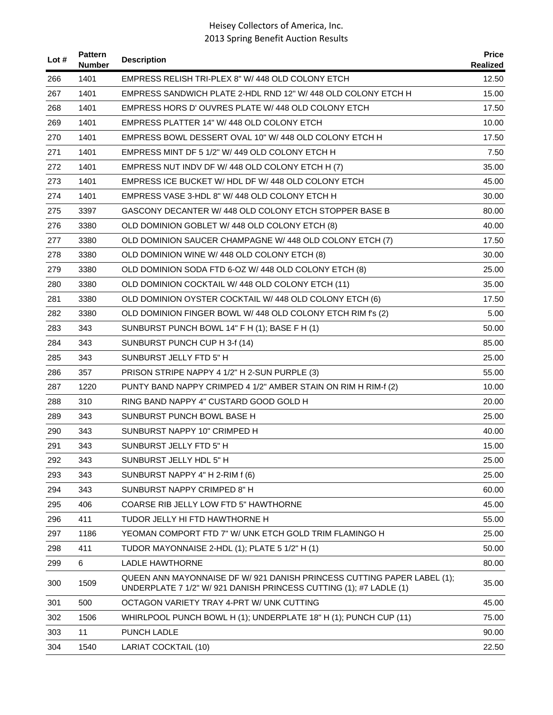| Lot # | <b>Pattern</b><br><b>Number</b> | <b>Description</b>                                                                                                                            | <b>Price</b><br><b>Realized</b> |
|-------|---------------------------------|-----------------------------------------------------------------------------------------------------------------------------------------------|---------------------------------|
| 266   | 1401                            | EMPRESS RELISH TRI-PLEX 8" W/ 448 OLD COLONY ETCH                                                                                             | 12.50                           |
| 267   | 1401                            | EMPRESS SANDWICH PLATE 2-HDL RND 12" W/ 448 OLD COLONY ETCH H                                                                                 | 15.00                           |
| 268   | 1401                            | EMPRESS HORS D'OUVRES PLATE W/448 OLD COLONY ETCH                                                                                             | 17.50                           |
| 269   | 1401                            | EMPRESS PLATTER 14" W/ 448 OLD COLONY ETCH                                                                                                    | 10.00                           |
| 270   | 1401                            | EMPRESS BOWL DESSERT OVAL 10" W/ 448 OLD COLONY ETCH H                                                                                        | 17.50                           |
| 271   | 1401                            | EMPRESS MINT DF 5 1/2" W/ 449 OLD COLONY ETCH H                                                                                               | 7.50                            |
| 272   | 1401                            | EMPRESS NUT INDV DF W/ 448 OLD COLONY ETCH H (7)                                                                                              | 35.00                           |
| 273   | 1401                            | EMPRESS ICE BUCKET W/HDL DF W/448 OLD COLONY ETCH                                                                                             | 45.00                           |
| 274   | 1401                            | EMPRESS VASE 3-HDL 8" W/ 448 OLD COLONY ETCH H                                                                                                | 30.00                           |
| 275   | 3397                            | GASCONY DECANTER W/ 448 OLD COLONY ETCH STOPPER BASE B                                                                                        | 80.00                           |
| 276   | 3380                            | OLD DOMINION GOBLET W/ 448 OLD COLONY ETCH (8)                                                                                                | 40.00                           |
| 277   | 3380                            | OLD DOMINION SAUCER CHAMPAGNE W/ 448 OLD COLONY ETCH (7)                                                                                      | 17.50                           |
| 278   | 3380                            | OLD DOMINION WINE W/ 448 OLD COLONY ETCH (8)                                                                                                  | 30.00                           |
| 279   | 3380                            | OLD DOMINION SODA FTD 6-OZ W/ 448 OLD COLONY ETCH (8)                                                                                         | 25.00                           |
| 280   | 3380                            | OLD DOMINION COCKTAIL W/ 448 OLD COLONY ETCH (11)                                                                                             | 35.00                           |
| 281   | 3380                            | OLD DOMINION OYSTER COCKTAIL W/ 448 OLD COLONY ETCH (6)                                                                                       | 17.50                           |
| 282   | 3380                            | OLD DOMINION FINGER BOWL W/ 448 OLD COLONY ETCH RIM f's (2)                                                                                   | 5.00                            |
| 283   | 343                             | SUNBURST PUNCH BOWL 14" F H (1); BASE F H (1)                                                                                                 | 50.00                           |
| 284   | 343                             | SUNBURST PUNCH CUP H 3-f (14)                                                                                                                 | 85.00                           |
| 285   | 343                             | SUNBURST JELLY FTD 5" H                                                                                                                       | 25.00                           |
| 286   | 357                             | PRISON STRIPE NAPPY 4 1/2" H 2-SUN PURPLE (3)                                                                                                 | 55.00                           |
| 287   | 1220                            | PUNTY BAND NAPPY CRIMPED 4 1/2" AMBER STAIN ON RIM H RIM-f (2)                                                                                | 10.00                           |
| 288   | 310                             | RING BAND NAPPY 4" CUSTARD GOOD GOLD H                                                                                                        | 20.00                           |
| 289   | 343                             | SUNBURST PUNCH BOWL BASE H                                                                                                                    | 25.00                           |
| 290   | 343                             | SUNBURST NAPPY 10" CRIMPED H                                                                                                                  | 40.00                           |
| 291   | 343                             | SUNBURST JELLY FTD 5" H                                                                                                                       | 15.00                           |
| 292   | 343                             | SUNBURST JELLY HDL 5" H                                                                                                                       | 25.00                           |
| 293   | 343                             | SUNBURST NAPPY 4" H 2-RIM f (6)                                                                                                               | 25.00                           |
| 294   | 343                             | SUNBURST NAPPY CRIMPED 8" H                                                                                                                   | 60.00                           |
| 295   | 406                             | COARSE RIB JELLY LOW FTD 5" HAWTHORNE                                                                                                         | 45.00                           |
| 296   | 411                             | TUDOR JELLY HI FTD HAWTHORNE H                                                                                                                | 55.00                           |
| 297   | 1186                            | YEOMAN COMPORT FTD 7" W/ UNK ETCH GOLD TRIM FLAMINGO H                                                                                        | 25.00                           |
| 298   | 411                             | TUDOR MAYONNAISE 2-HDL (1); PLATE 5 1/2" H (1)                                                                                                | 50.00                           |
| 299   | $\,6\,$                         | <b>LADLE HAWTHORNE</b>                                                                                                                        | 80.00                           |
| 300   | 1509                            | QUEEN ANN MAYONNAISE DF W/ 921 DANISH PRINCESS CUTTING PAPER LABEL (1);<br>UNDERPLATE 7 1/2" W/ 921 DANISH PRINCESS CUTTING (1); #7 LADLE (1) | 35.00                           |
| 301   | 500                             | OCTAGON VARIETY TRAY 4-PRT W/ UNK CUTTING                                                                                                     | 45.00                           |
| 302   | 1506                            | WHIRLPOOL PUNCH BOWL H (1); UNDERPLATE 18" H (1); PUNCH CUP (11)                                                                              | 75.00                           |
| 303   | 11                              | PUNCH LADLE                                                                                                                                   | 90.00                           |
| 304   | 1540                            | LARIAT COCKTAIL (10)                                                                                                                          | 22.50                           |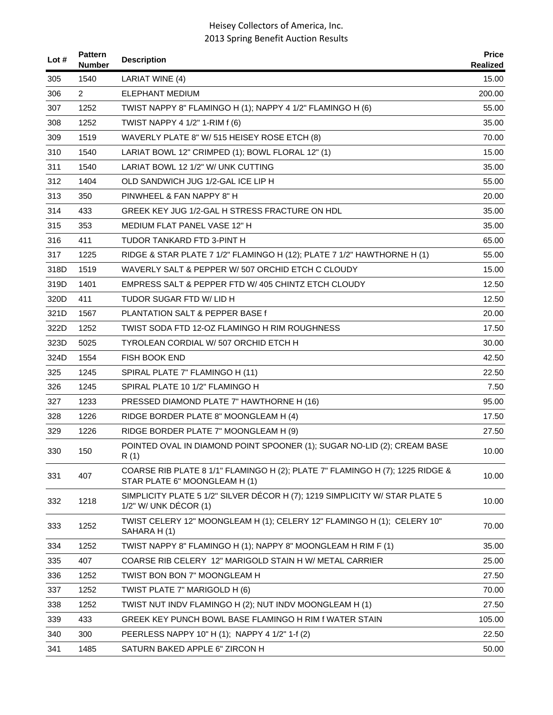| Lot # | <b>Pattern</b><br><b>Number</b> | <b>Description</b>                                                                                             | <b>Price</b><br><b>Realized</b> |
|-------|---------------------------------|----------------------------------------------------------------------------------------------------------------|---------------------------------|
| 305   | 1540                            | LARIAT WINE (4)                                                                                                | 15.00                           |
| 306   | 2                               | <b>ELEPHANT MEDIUM</b>                                                                                         | 200.00                          |
| 307   | 1252                            | TWIST NAPPY 8" FLAMINGO H (1); NAPPY 4 1/2" FLAMINGO H (6)                                                     | 55.00                           |
| 308   | 1252                            | TWIST NAPPY 4 1/2" 1-RIM f (6)                                                                                 | 35.00                           |
| 309   | 1519                            | WAVERLY PLATE 8" W/ 515 HEISEY ROSE ETCH (8)                                                                   | 70.00                           |
| 310   | 1540                            | LARIAT BOWL 12" CRIMPED (1); BOWL FLORAL 12" (1)                                                               | 15.00                           |
| 311   | 1540                            | LARIAT BOWL 12 1/2" W/ UNK CUTTING                                                                             | 35.00                           |
| 312   | 1404                            | OLD SANDWICH JUG 1/2-GAL ICE LIP H                                                                             | 55.00                           |
| 313   | 350                             | PINWHEEL & FAN NAPPY 8" H                                                                                      | 20.00                           |
| 314   | 433                             | GREEK KEY JUG 1/2-GAL H STRESS FRACTURE ON HDL                                                                 | 35.00                           |
| 315   | 353                             | MEDIUM FLAT PANEL VASE 12" H                                                                                   | 35.00                           |
| 316   | 411                             | TUDOR TANKARD FTD 3-PINT H                                                                                     | 65.00                           |
| 317   | 1225                            | RIDGE & STAR PLATE 7 1/2" FLAMINGO H (12); PLATE 7 1/2" HAWTHORNE H (1)                                        | 55.00                           |
| 318D  | 1519                            | WAVERLY SALT & PEPPER W/507 ORCHID ETCH C CLOUDY                                                               | 15.00                           |
| 319D  | 1401                            | EMPRESS SALT & PEPPER FTD W/405 CHINTZ ETCH CLOUDY                                                             | 12.50                           |
| 320D  | 411                             | TUDOR SUGAR FTD W/ LID H                                                                                       | 12.50                           |
| 321D  | 1567                            | PLANTATION SALT & PEPPER BASE f                                                                                | 20.00                           |
| 322D  | 1252                            | TWIST SODA FTD 12-OZ FLAMINGO H RIM ROUGHNESS                                                                  | 17.50                           |
| 323D  | 5025                            | TYROLEAN CORDIAL W/ 507 ORCHID ETCH H                                                                          | 30.00                           |
| 324D  | 1554                            | FISH BOOK END                                                                                                  | 42.50                           |
| 325   | 1245                            | SPIRAL PLATE 7" FLAMINGO H (11)                                                                                | 22.50                           |
| 326   | 1245                            | SPIRAL PLATE 10 1/2" FLAMINGO H                                                                                | 7.50                            |
| 327   | 1233                            | PRESSED DIAMOND PLATE 7" HAWTHORNE H (16)                                                                      | 95.00                           |
| 328   | 1226                            | RIDGE BORDER PLATE 8" MOONGLEAM H (4)                                                                          | 17.50                           |
| 329   | 1226                            | RIDGE BORDER PLATE 7" MOONGLEAM H (9)                                                                          | 27.50                           |
| 330   | 150                             | POINTED OVAL IN DIAMOND POINT SPOONER (1); SUGAR NO-LID (2); CREAM BASE<br>R(1)                                | 10.00                           |
| 331   | 407                             | COARSE RIB PLATE 8 1/1" FLAMINGO H (2); PLATE 7" FLAMINGO H (7); 1225 RIDGE &<br>STAR PLATE 6" MOONGLEAM H (1) | 10.00                           |
| 332   | 1218                            | SIMPLICITY PLATE 5 1/2" SILVER DÉCOR H (7); 1219 SIMPLICITY W/ STAR PLATE 5<br>1/2" W/ UNK DÉCOR (1)           | 10.00                           |
| 333   | 1252                            | TWIST CELERY 12" MOONGLEAM H (1); CELERY 12" FLAMINGO H (1); CELERY 10"<br>SAHARA H(1)                         | 70.00                           |
| 334   | 1252                            | TWIST NAPPY 8" FLAMINGO H (1); NAPPY 8" MOONGLEAM H RIM F (1)                                                  | 35.00                           |
| 335   | 407                             | COARSE RIB CELERY 12" MARIGOLD STAIN HW/ METAL CARRIER                                                         | 25.00                           |
| 336   | 1252                            | TWIST BON BON 7" MOONGLEAM H                                                                                   | 27.50                           |
| 337   | 1252                            | TWIST PLATE 7" MARIGOLD H (6)                                                                                  | 70.00                           |
| 338   | 1252                            | TWIST NUT INDV FLAMINGO H (2); NUT INDV MOONGLEAM H (1)                                                        | 27.50                           |
| 339   | 433                             | GREEK KEY PUNCH BOWL BASE FLAMINGO H RIM f WATER STAIN                                                         | 105.00                          |
| 340   | 300                             | PEERLESS NAPPY 10" H (1); NAPPY 4 1/2" 1-f (2)                                                                 | 22.50                           |
| 341   | 1485                            | SATURN BAKED APPLE 6" ZIRCON H                                                                                 | 50.00                           |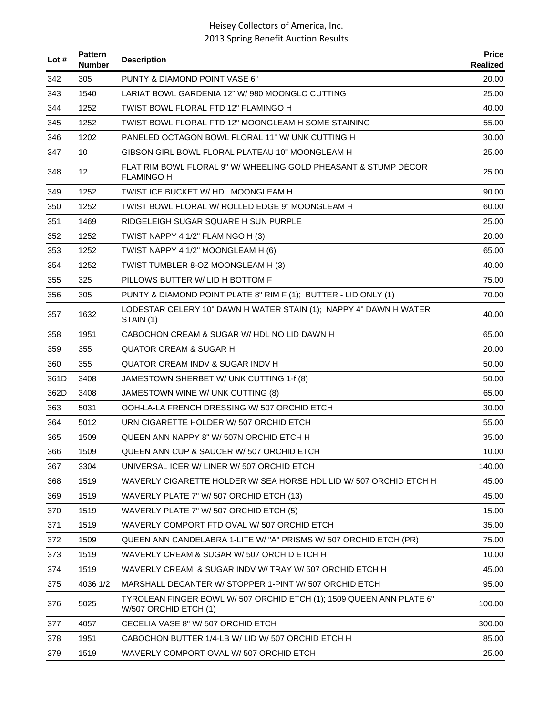| Lot $#$ | <b>Pattern</b><br><b>Number</b> | <b>Description</b>                                                                            | <b>Price</b><br>Realized |
|---------|---------------------------------|-----------------------------------------------------------------------------------------------|--------------------------|
| 342     | 305                             | PUNTY & DIAMOND POINT VASE 6"                                                                 | 20.00                    |
| 343     | 1540                            | LARIAT BOWL GARDENIA 12" W/ 980 MOONGLO CUTTING                                               | 25.00                    |
| 344     | 1252                            | TWIST BOWL FLORAL FTD 12" FLAMINGO H                                                          | 40.00                    |
| 345     | 1252                            | TWIST BOWL FLORAL FTD 12" MOONGLEAM H SOME STAINING                                           | 55.00                    |
| 346     | 1202                            | PANELED OCTAGON BOWL FLORAL 11" W/ UNK CUTTING H                                              | 30.00                    |
| 347     | 10                              | GIBSON GIRL BOWL FLORAL PLATEAU 10" MOONGLEAM H                                               | 25.00                    |
| 348     | 12 <sup>2</sup>                 | FLAT RIM BOWL FLORAL 9" W/ WHEELING GOLD PHEASANT & STUMP DECOR<br><b>FLAMINGO H</b>          | 25.00                    |
| 349     | 1252                            | TWIST ICE BUCKET W/ HDL MOONGLEAM H                                                           | 90.00                    |
| 350     | 1252                            | TWIST BOWL FLORAL W/ ROLLED EDGE 9" MOONGLEAM H                                               | 60.00                    |
| 351     | 1469                            | RIDGELEIGH SUGAR SQUARE H SUN PURPLE                                                          | 25.00                    |
| 352     | 1252                            | TWIST NAPPY 4 1/2" FLAMINGO H (3)                                                             | 20.00                    |
| 353     | 1252                            | TWIST NAPPY 4 1/2" MOONGLEAM H (6)                                                            | 65.00                    |
| 354     | 1252                            | TWIST TUMBLER 8-OZ MOONGLEAM H (3)                                                            | 40.00                    |
| 355     | 325                             | PILLOWS BUTTER W/LID H BOTTOM F                                                               | 75.00                    |
| 356     | 305                             | PUNTY & DIAMOND POINT PLATE 8" RIM F (1); BUTTER - LID ONLY (1)                               | 70.00                    |
| 357     | 1632                            | LODESTAR CELERY 10" DAWN H WATER STAIN (1): NAPPY 4" DAWN H WATER<br>STAIN (1)                | 40.00                    |
| 358     | 1951                            | CABOCHON CREAM & SUGAR W/ HDL NO LID DAWN H                                                   | 65.00                    |
| 359     | 355                             | QUATOR CREAM & SUGAR H                                                                        | 20.00                    |
| 360     | 355                             | QUATOR CREAM INDV & SUGAR INDV H                                                              | 50.00                    |
| 361D    | 3408                            | JAMESTOWN SHERBET W/ UNK CUTTING 1-f (8)                                                      | 50.00                    |
| 362D    | 3408                            | JAMESTOWN WINE W/ UNK CUTTING (8)                                                             | 65.00                    |
| 363     | 5031                            | OOH-LA-LA FRENCH DRESSING W/507 ORCHID ETCH                                                   | 30.00                    |
| 364     | 5012                            | URN CIGARETTE HOLDER W/507 ORCHID ETCH                                                        | 55.00                    |
| 365     | 1509                            | QUEEN ANN NAPPY 8" W/ 507N ORCHID ETCH H                                                      | 35.00                    |
| 366     | 1509                            | QUEEN ANN CUP & SAUCER W/ 507 ORCHID ETCH                                                     | 10.00                    |
| 367     | 3304                            | UNIVERSAL ICER W/ LINER W/507 ORCHID ETCH                                                     | 140.00                   |
| 368     | 1519                            | WAVERLY CIGARETTE HOLDER W/ SEA HORSE HDL LID W/ 507 ORCHID ETCH H                            | 45.00                    |
| 369     | 1519                            | WAVERLY PLATE 7" W/ 507 ORCHID ETCH (13)                                                      | 45.00                    |
| 370     | 1519                            | WAVERLY PLATE 7" W/ 507 ORCHID ETCH (5)                                                       | 15.00                    |
| 371     | 1519                            | WAVERLY COMPORT FTD OVAL W/507 ORCHID ETCH                                                    | 35.00                    |
| 372     | 1509                            | QUEEN ANN CANDELABRA 1-LITE W/ "A" PRISMS W/ 507 ORCHID ETCH (PR)                             | 75.00                    |
| 373     | 1519                            | WAVERLY CREAM & SUGAR W/507 ORCHID ETCH H                                                     | 10.00                    |
| 374     | 1519                            | WAVERLY CREAM & SUGAR INDV W/TRAY W/507 ORCHID ETCH H                                         | 45.00                    |
| 375     | 4036 1/2                        | MARSHALL DECANTER W/ STOPPER 1-PINT W/ 507 ORCHID ETCH                                        | 95.00                    |
| 376     | 5025                            | TYROLEAN FINGER BOWL W/ 507 ORCHID ETCH (1); 1509 QUEEN ANN PLATE 6"<br>W/507 ORCHID ETCH (1) | 100.00                   |
| 377     | 4057                            | CECELIA VASE 8" W/ 507 ORCHID ETCH                                                            | 300.00                   |
| 378     | 1951                            | CABOCHON BUTTER 1/4-LB W/ LID W/ 507 ORCHID ETCH H                                            | 85.00                    |
| 379     | 1519                            | WAVERLY COMPORT OVAL W/507 ORCHID ETCH                                                        | 25.00                    |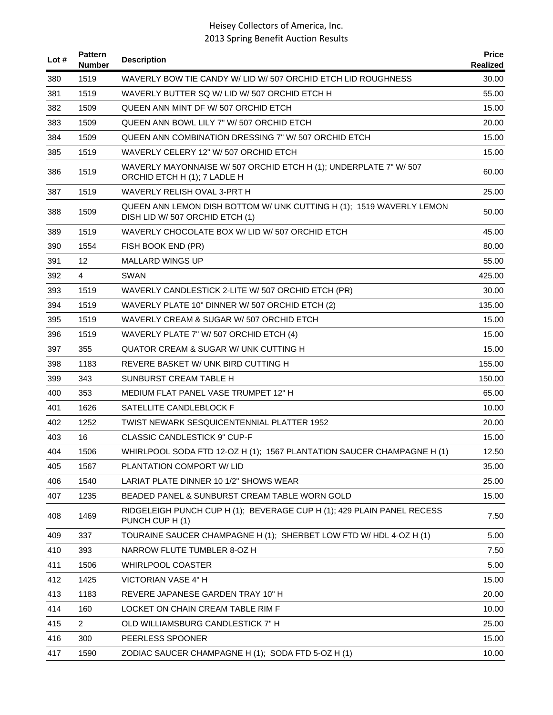| Lot $#$ | <b>Pattern</b><br><b>Number</b> | <b>Description</b>                                                                                      | <b>Price</b><br>Realized |
|---------|---------------------------------|---------------------------------------------------------------------------------------------------------|--------------------------|
| 380     | 1519                            | WAVERLY BOW TIE CANDY W/ LID W/ 507 ORCHID ETCH LID ROUGHNESS                                           | 30.00                    |
| 381     | 1519                            | WAVERLY BUTTER SQ W/ LID W/ 507 ORCHID ETCH H                                                           | 55.00                    |
| 382     | 1509                            | QUEEN ANN MINT DF W/ 507 ORCHID ETCH                                                                    | 15.00                    |
| 383     | 1509                            | QUEEN ANN BOWL LILY 7" W/ 507 ORCHID ETCH                                                               | 20.00                    |
| 384     | 1509                            | QUEEN ANN COMBINATION DRESSING 7" W/ 507 ORCHID ETCH                                                    | 15.00                    |
| 385     | 1519                            | WAVERLY CELERY 12" W/ 507 ORCHID ETCH                                                                   | 15.00                    |
| 386     | 1519                            | WAVERLY MAYONNAISE W/ 507 ORCHID ETCH H (1); UNDERPLATE 7" W/ 507<br>ORCHID ETCH H (1); 7 LADLE H       | 60.00                    |
| 387     | 1519                            | WAVERLY RELISH OVAL 3-PRT H                                                                             | 25.00                    |
| 388     | 1509                            | QUEEN ANN LEMON DISH BOTTOM W/ UNK CUTTING H (1); 1519 WAVERLY LEMON<br>DISH LID W/ 507 ORCHID ETCH (1) | 50.00                    |
| 389     | 1519                            | WAVERLY CHOCOLATE BOX W/ LID W/ 507 ORCHID ETCH                                                         | 45.00                    |
| 390     | 1554                            | FISH BOOK END (PR)                                                                                      | 80.00                    |
| 391     | 12                              | <b>MALLARD WINGS UP</b>                                                                                 | 55.00                    |
| 392     | $\overline{4}$                  | SWAN                                                                                                    | 425.00                   |
| 393     | 1519                            | WAVERLY CANDLESTICK 2-LITE W/ 507 ORCHID ETCH (PR)                                                      | 30.00                    |
| 394     | 1519                            | WAVERLY PLATE 10" DINNER W/507 ORCHID ETCH (2)                                                          | 135.00                   |
| 395     | 1519                            | WAVERLY CREAM & SUGAR W/507 ORCHID ETCH                                                                 | 15.00                    |
| 396     | 1519                            | WAVERLY PLATE 7" W/ 507 ORCHID ETCH (4)                                                                 | 15.00                    |
| 397     | 355                             | QUATOR CREAM & SUGAR W/ UNK CUTTING H                                                                   | 15.00                    |
| 398     | 1183                            | REVERE BASKET W/ UNK BIRD CUTTING H                                                                     | 155.00                   |
| 399     | 343                             | SUNBURST CREAM TABLE H                                                                                  | 150.00                   |
| 400     | 353                             | MEDIUM FLAT PANEL VASE TRUMPET 12" H                                                                    | 65.00                    |
| 401     | 1626                            | SATELLITE CANDLEBLOCK F                                                                                 | 10.00                    |
| 402     | 1252                            | <b>TWIST NEWARK SESQUICENTENNIAL PLATTER 1952</b>                                                       | 20.00                    |
| 403     | 16                              | <b>CLASSIC CANDLESTICK 9" CUP-F</b>                                                                     | 15.00                    |
| 404     | 1506                            | WHIRLPOOL SODA FTD 12-OZ H (1); 1567 PLANTATION SAUCER CHAMPAGNE H (1)                                  | 12.50                    |
| 405     | 1567                            | PLANTATION COMPORT W/ LID                                                                               | 35.00                    |
| 406     | 1540                            | LARIAT PLATE DINNER 10 1/2" SHOWS WEAR                                                                  | 25.00                    |
| 407     | 1235                            | BEADED PANEL & SUNBURST CREAM TABLE WORN GOLD                                                           | 15.00                    |
| 408     | 1469                            | RIDGELEIGH PUNCH CUP H (1); BEVERAGE CUP H (1); 429 PLAIN PANEL RECESS<br>PUNCH CUP H (1)               | 7.50                     |
| 409     | 337                             | TOURAINE SAUCER CHAMPAGNE H (1); SHERBET LOW FTD W/ HDL 4-OZ H (1)                                      | 5.00                     |
| 410     | 393                             | NARROW FLUTE TUMBLER 8-OZ H                                                                             | 7.50                     |
| 411     | 1506                            | <b>WHIRLPOOL COASTER</b>                                                                                | 5.00                     |
| 412     | 1425                            | VICTORIAN VASE 4" H                                                                                     | 15.00                    |
| 413     | 1183                            | REVERE JAPANESE GARDEN TRAY 10" H                                                                       | 20.00                    |
| 414     | 160                             | LOCKET ON CHAIN CREAM TABLE RIM F                                                                       | 10.00                    |
| 415     | $\overline{2}$                  | OLD WILLIAMSBURG CANDLESTICK 7" H                                                                       | 25.00                    |
| 416     | 300                             | PEERLESS SPOONER                                                                                        | 15.00                    |
| 417     | 1590                            | ZODIAC SAUCER CHAMPAGNE H (1); SODA FTD 5-OZ H (1)                                                      | 10.00                    |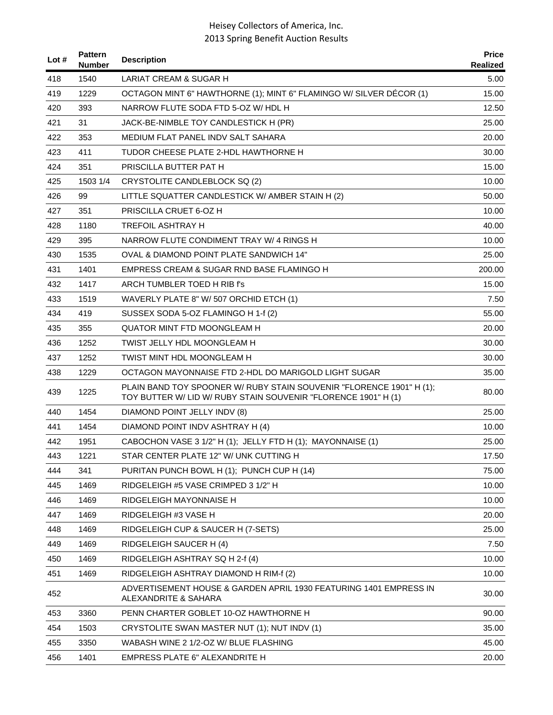| Lot # | <b>Pattern</b><br><b>Number</b> | <b>Description</b>                                                                                                                     | <b>Price</b><br>Realized |
|-------|---------------------------------|----------------------------------------------------------------------------------------------------------------------------------------|--------------------------|
| 418   | 1540                            | LARIAT CREAM & SUGAR H                                                                                                                 | 5.00                     |
| 419   | 1229                            | OCTAGON MINT 6" HAWTHORNE (1); MINT 6" FLAMINGO W/ SILVER DÉCOR (1)                                                                    | 15.00                    |
| 420   | 393                             | NARROW FLUTE SODA FTD 5-OZ W/ HDL H                                                                                                    | 12.50                    |
| 421   | 31                              | JACK-BE-NIMBLE TOY CANDLESTICK H (PR)                                                                                                  | 25.00                    |
| 422   | 353                             | MEDIUM FLAT PANEL INDV SALT SAHARA                                                                                                     | 20.00                    |
| 423   | 411                             | TUDOR CHEESE PLATE 2-HDL HAWTHORNE H                                                                                                   | 30.00                    |
| 424   | 351                             | PRISCILLA BUTTER PAT H                                                                                                                 | 15.00                    |
| 425   | 1503 1/4                        | CRYSTOLITE CANDLEBLOCK SQ (2)                                                                                                          | 10.00                    |
| 426   | 99                              | LITTLE SQUATTER CANDLESTICK W/ AMBER STAIN H (2)                                                                                       | 50.00                    |
| 427   | 351                             | PRISCILLA CRUET 6-OZ H                                                                                                                 | 10.00                    |
| 428   | 1180                            | <b>TREFOIL ASHTRAY H</b>                                                                                                               | 40.00                    |
| 429   | 395                             | NARROW FLUTE CONDIMENT TRAY W/ 4 RINGS H                                                                                               | 10.00                    |
| 430   | 1535                            | OVAL & DIAMOND POINT PLATE SANDWICH 14"                                                                                                | 25.00                    |
| 431   | 1401                            | EMPRESS CREAM & SUGAR RND BASE FLAMINGO H                                                                                              | 200.00                   |
| 432   | 1417                            | ARCH TUMBLER TOED H RIB f's                                                                                                            | 15.00                    |
| 433   | 1519                            | WAVERLY PLATE 8" W/ 507 ORCHID ETCH (1)                                                                                                | 7.50                     |
| 434   | 419                             | SUSSEX SODA 5-OZ FLAMINGO H 1-f (2)                                                                                                    | 55.00                    |
| 435   | 355                             | <b>QUATOR MINT FTD MOONGLEAM H</b>                                                                                                     | 20.00                    |
| 436   | 1252                            | TWIST JELLY HDL MOONGLEAM H                                                                                                            | 30.00                    |
| 437   | 1252                            | TWIST MINT HDL MOONGLEAM H                                                                                                             | 30.00                    |
| 438   | 1229                            | OCTAGON MAYONNAISE FTD 2-HDL DO MARIGOLD LIGHT SUGAR                                                                                   | 35.00                    |
| 439   | 1225                            | PLAIN BAND TOY SPOONER W/ RUBY STAIN SOUVENIR "FLORENCE 1901" H (1);<br>TOY BUTTER W/ LID W/ RUBY STAIN SOUVENIR "FLORENCE 1901" H (1) | 80.00                    |
| 440   | 1454                            | DIAMOND POINT JELLY INDV (8)                                                                                                           | 25.00                    |
| 441   | 1454                            | DIAMOND POINT INDV ASHTRAY H (4)                                                                                                       | 10.00                    |
| 442   | 1951                            | CABOCHON VASE 3 1/2" H (1); JELLY FTD H (1); MAYONNAISE (1)                                                                            | 25.00                    |
| 443   | 1221                            | STAR CENTER PLATE 12" W/ UNK CUTTING H                                                                                                 | 17.50                    |
| 444   | 341                             | PURITAN PUNCH BOWL H (1); PUNCH CUP H (14)                                                                                             | 75.00                    |
| 445   | 1469                            | RIDGELEIGH #5 VASE CRIMPED 3 1/2" H                                                                                                    | 10.00                    |
| 446   | 1469                            | RIDGELEIGH MAYONNAISE H                                                                                                                | 10.00                    |
| 447   | 1469                            | RIDGELEIGH #3 VASE H                                                                                                                   | 20.00                    |
| 448   | 1469                            | RIDGELEIGH CUP & SAUCER H (7-SETS)                                                                                                     | 25.00                    |
| 449   | 1469                            | RIDGELEIGH SAUCER H (4)                                                                                                                | 7.50                     |
| 450   | 1469                            | RIDGELEIGH ASHTRAY SQ H 2-f (4)                                                                                                        | 10.00                    |
| 451   | 1469                            | RIDGELEIGH ASHTRAY DIAMOND H RIM-f (2)                                                                                                 | 10.00                    |
| 452   |                                 | ADVERTISEMENT HOUSE & GARDEN APRIL 1930 FEATURING 1401 EMPRESS IN<br>ALEXANDRITE & SAHARA                                              | 30.00                    |
| 453   | 3360                            | PENN CHARTER GOBLET 10-OZ HAWTHORNE H                                                                                                  | 90.00                    |
| 454   | 1503                            | CRYSTOLITE SWAN MASTER NUT (1); NUT INDV (1)                                                                                           | 35.00                    |
| 455   | 3350                            | WABASH WINE 2 1/2-OZ W/ BLUE FLASHING                                                                                                  | 45.00                    |
| 456   | 1401                            | <b>EMPRESS PLATE 6" ALEXANDRITE H</b>                                                                                                  | 20.00                    |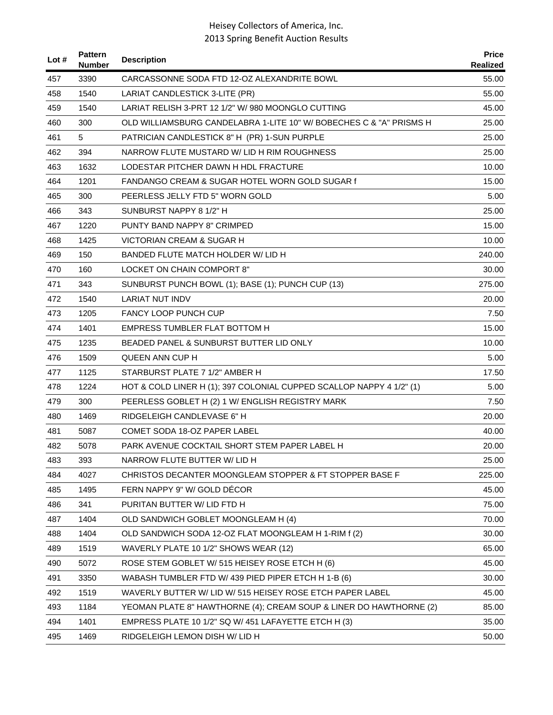| Lot $#$ | <b>Pattern</b><br><b>Number</b> | <b>Description</b>                                                   | <b>Price</b><br>Realized |
|---------|---------------------------------|----------------------------------------------------------------------|--------------------------|
| 457     | 3390                            | CARCASSONNE SODA FTD 12-OZ ALEXANDRITE BOWL                          | 55.00                    |
| 458     | 1540                            | LARIAT CANDLESTICK 3-LITE (PR)                                       | 55.00                    |
| 459     | 1540                            | LARIAT RELISH 3-PRT 12 1/2" W/ 980 MOONGLO CUTTING                   | 45.00                    |
| 460     | 300                             | OLD WILLIAMSBURG CANDELABRA 1-LITE 10" W/ BOBECHES C & "A" PRISMS H  | 25.00                    |
| 461     | 5                               | PATRICIAN CANDLESTICK 8" H (PR) 1-SUN PURPLE                         | 25.00                    |
| 462     | 394                             | NARROW FLUTE MUSTARD W/LID H RIM ROUGHNESS                           | 25.00                    |
| 463     | 1632                            | LODESTAR PITCHER DAWN H HDL FRACTURE                                 | 10.00                    |
| 464     | 1201                            | FANDANGO CREAM & SUGAR HOTEL WORN GOLD SUGAR f                       | 15.00                    |
| 465     | 300                             | PEERLESS JELLY FTD 5" WORN GOLD                                      | 5.00                     |
| 466     | 343                             | SUNBURST NAPPY 8 1/2" H                                              | 25.00                    |
| 467     | 1220                            | PUNTY BAND NAPPY 8" CRIMPED                                          | 15.00                    |
| 468     | 1425                            | VICTORIAN CREAM & SUGAR H                                            | 10.00                    |
| 469     | 150                             | BANDED FLUTE MATCH HOLDER W/ LID H                                   | 240.00                   |
| 470     | 160                             | LOCKET ON CHAIN COMPORT 8"                                           | 30.00                    |
| 471     | 343                             | SUNBURST PUNCH BOWL (1); BASE (1); PUNCH CUP (13)                    | 275.00                   |
| 472     | 1540                            | <b>LARIAT NUT INDV</b>                                               | 20.00                    |
| 473     | 1205                            | <b>FANCY LOOP PUNCH CUP</b>                                          | 7.50                     |
| 474     | 1401                            | EMPRESS TUMBLER FLAT BOTTOM H                                        | 15.00                    |
| 475     | 1235                            | BEADED PANEL & SUNBURST BUTTER LID ONLY                              | 10.00                    |
| 476     | 1509                            | QUEEN ANN CUP H                                                      | 5.00                     |
| 477     | 1125                            | STARBURST PLATE 7 1/2" AMBER H                                       | 17.50                    |
| 478     | 1224                            | HOT & COLD LINER H (1); 397 COLONIAL CUPPED SCALLOP NAPPY 4 1/2" (1) | 5.00                     |
| 479     | 300                             | PEERLESS GOBLET H (2) 1 W/ ENGLISH REGISTRY MARK                     | 7.50                     |
| 480     | 1469                            | RIDGELEIGH CANDLEVASE 6" H                                           | 20.00                    |
| 481     | 5087                            | COMET SODA 18-OZ PAPER LABEL                                         | 40.00                    |
| 482     | 5078                            | PARK AVENUE COCKTAIL SHORT STEM PAPER LABEL H                        | 20.00                    |
| 483     | 393                             | NARROW FLUTE BUTTER W/ LID H                                         | 25.00                    |
| 484     | 4027                            | CHRISTOS DECANTER MOONGLEAM STOPPER & FT STOPPER BASE F              | 225.00                   |
| 485     | 1495                            | FERN NAPPY 9" W/ GOLD DECOR                                          | 45.00                    |
| 486     | 341                             | PURITAN BUTTER W/ LID FTD H                                          | 75.00                    |
| 487     | 1404                            | OLD SANDWICH GOBLET MOONGLEAM H (4)                                  | 70.00                    |
| 488     | 1404                            | OLD SANDWICH SODA 12-OZ FLAT MOONGLEAM H 1-RIM f (2)                 | 30.00                    |
| 489     | 1519                            | WAVERLY PLATE 10 1/2" SHOWS WEAR (12)                                | 65.00                    |
| 490     | 5072                            | ROSE STEM GOBLET W/ 515 HEISEY ROSE ETCH H (6)                       | 45.00                    |
| 491     | 3350                            | WABASH TUMBLER FTD W/ 439 PIED PIPER ETCH H 1-B (6)                  | 30.00                    |
| 492     | 1519                            | WAVERLY BUTTER W/ LID W/ 515 HEISEY ROSE ETCH PAPER LABEL            | 45.00                    |
| 493     | 1184                            | YEOMAN PLATE 8" HAWTHORNE (4); CREAM SOUP & LINER DO HAWTHORNE (2)   | 85.00                    |
| 494     | 1401                            | EMPRESS PLATE 10 1/2" SQ W/ 451 LAFAYETTE ETCH H (3)                 | 35.00                    |
| 495     | 1469                            | RIDGELEIGH LEMON DISH W/ LID H                                       | 50.00                    |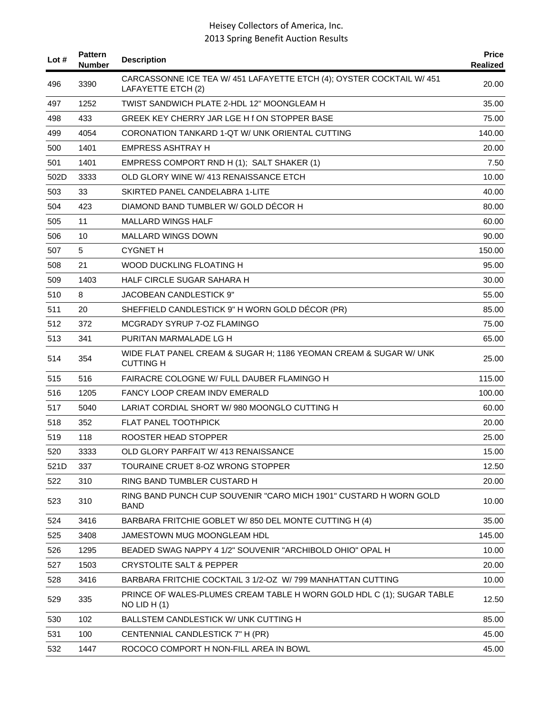| Lot $#$ | <b>Pattern</b><br><b>Number</b> | <b>Description</b>                                                                          | <b>Price</b><br>Realized |
|---------|---------------------------------|---------------------------------------------------------------------------------------------|--------------------------|
| 496     | 3390                            | CARCASSONNE ICE TEA W/ 451 LAFAYETTE ETCH (4); OYSTER COCKTAIL W/ 451<br>LAFAYETTE ETCH (2) | 20.00                    |
| 497     | 1252                            | TWIST SANDWICH PLATE 2-HDL 12" MOONGLEAM H                                                  | 35.00                    |
| 498     | 433                             | GREEK KEY CHERRY JAR LGE H f ON STOPPER BASE                                                | 75.00                    |
| 499     | 4054                            | CORONATION TANKARD 1-QT W/ UNK ORIENTAL CUTTING                                             | 140.00                   |
| 500     | 1401                            | EMPRESS ASHTRAY H                                                                           | 20.00                    |
| 501     | 1401                            | EMPRESS COMPORT RND H (1); SALT SHAKER (1)                                                  | 7.50                     |
| 502D    | 3333                            | OLD GLORY WINE W/ 413 RENAISSANCE ETCH                                                      | 10.00                    |
| 503     | 33                              | SKIRTED PANEL CANDELABRA 1-LITE                                                             | 40.00                    |
| 504     | 423                             | DIAMOND BAND TUMBLER W/ GOLD DECOR H                                                        | 80.00                    |
| 505     | 11                              | <b>MALLARD WINGS HALF</b>                                                                   | 60.00                    |
| 506     | 10                              | MALLARD WINGS DOWN                                                                          | 90.00                    |
| 507     | 5                               | <b>CYGNET H</b>                                                                             | 150.00                   |
| 508     | 21                              | WOOD DUCKLING FLOATING H                                                                    | 95.00                    |
| 509     | 1403                            | HALF CIRCLE SUGAR SAHARA H                                                                  | 30.00                    |
| 510     | 8                               | JACOBEAN CANDLESTICK 9"                                                                     | 55.00                    |
| 511     | 20                              | SHEFFIELD CANDLESTICK 9" H WORN GOLD DÉCOR (PR)                                             | 85.00                    |
| 512     | 372                             | MCGRADY SYRUP 7-OZ FLAMINGO                                                                 | 75.00                    |
| 513     | 341                             | PURITAN MARMALADE LG H                                                                      | 65.00                    |
| 514     | 354                             | WIDE FLAT PANEL CREAM & SUGAR H; 1186 YEOMAN CREAM & SUGAR W/ UNK<br><b>CUTTING H</b>       | 25.00                    |
| 515     | 516                             | FAIRACRE COLOGNE W/ FULL DAUBER FLAMINGO H                                                  | 115.00                   |
| 516     | 1205                            | <b>FANCY LOOP CREAM INDV EMERALD</b>                                                        | 100.00                   |
| 517     | 5040                            | LARIAT CORDIAL SHORT W/980 MOONGLO CUTTING H                                                | 60.00                    |
| 518     | 352                             | <b>FLAT PANEL TOOTHPICK</b>                                                                 | 20.00                    |
| 519     | 118                             | ROOSTER HEAD STOPPER                                                                        | 25.00                    |
| 520     | 3333                            | OLD GLORY PARFAIT W/ 413 RENAISSANCE                                                        | 15.00                    |
| 521D    | 337                             | TOURAINE CRUET 8-OZ WRONG STOPPER                                                           | 12.50                    |
| 522     | 310                             | RING BAND TUMBLER CUSTARD H                                                                 | 20.00                    |
| 523     | 310                             | RING BAND PUNCH CUP SOUVENIR "CARO MICH 1901" CUSTARD H WORN GOLD<br><b>BAND</b>            | 10.00                    |
| 524     | 3416                            | BARBARA FRITCHIE GOBLET W/850 DEL MONTE CUTTING H (4)                                       | 35.00                    |
| 525     | 3408                            | JAMESTOWN MUG MOONGLEAM HDL                                                                 | 145.00                   |
| 526     | 1295                            | BEADED SWAG NAPPY 4 1/2" SOUVENIR "ARCHIBOLD OHIO" OPAL H                                   | 10.00                    |
| 527     | 1503                            | <b>CRYSTOLITE SALT &amp; PEPPER</b>                                                         | 20.00                    |
| 528     | 3416                            | BARBARA FRITCHIE COCKTAIL 3 1/2-OZ W/ 799 MANHATTAN CUTTING                                 | 10.00                    |
| 529     | 335                             | PRINCE OF WALES-PLUMES CREAM TABLE H WORN GOLD HDL C (1); SUGAR TABLE<br>$NO$ LID H $(1)$   | 12.50                    |
| 530     | 102                             | BALLSTEM CANDLESTICK W/ UNK CUTTING H                                                       | 85.00                    |
| 531     | 100                             | CENTENNIAL CANDLESTICK 7" H (PR)                                                            | 45.00                    |
| 532     | 1447                            | ROCOCO COMPORT H NON-FILL AREA IN BOWL                                                      | 45.00                    |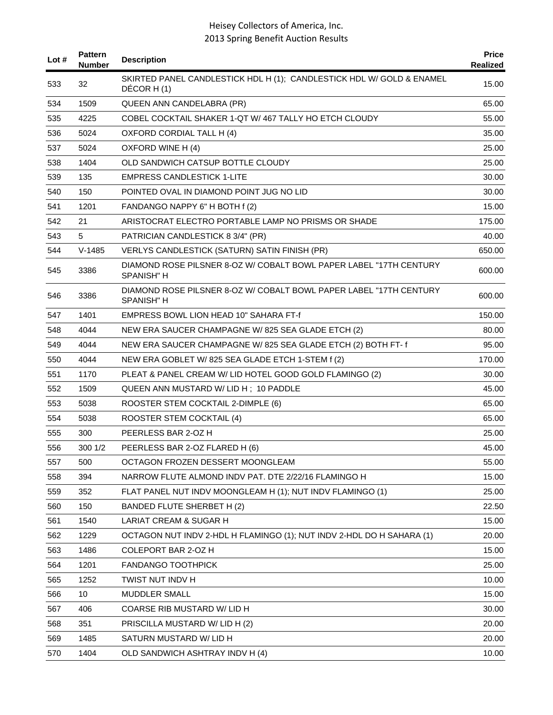| Lot $#$ | <b>Pattern</b><br>Number | <b>Description</b>                                                                      | <b>Price</b><br>Realized |
|---------|--------------------------|-----------------------------------------------------------------------------------------|--------------------------|
| 533     | 32                       | SKIRTED PANEL CANDLESTICK HDL H (1); CANDLESTICK HDL W/ GOLD & ENAMEL<br>DÉCOR H(1)     | 15.00                    |
| 534     | 1509                     | QUEEN ANN CANDELABRA (PR)                                                               | 65.00                    |
| 535     | 4225                     | COBEL COCKTAIL SHAKER 1-QT W/467 TALLY HO ETCH CLOUDY                                   | 55.00                    |
| 536     | 5024                     | OXFORD CORDIAL TALL H (4)                                                               | 35.00                    |
| 537     | 5024                     | OXFORD WINE H (4)                                                                       | 25.00                    |
| 538     | 1404                     | OLD SANDWICH CATSUP BOTTLE CLOUDY                                                       | 25.00                    |
| 539     | 135                      | <b>EMPRESS CANDLESTICK 1-LITE</b>                                                       | 30.00                    |
| 540     | 150                      | POINTED OVAL IN DIAMOND POINT JUG NO LID                                                | 30.00                    |
| 541     | 1201                     | FANDANGO NAPPY 6" H BOTH f (2)                                                          | 15.00                    |
| 542     | 21                       | ARISTOCRAT ELECTRO PORTABLE LAMP NO PRISMS OR SHADE                                     | 175.00                   |
| 543     | 5                        | PATRICIAN CANDLESTICK 8 3/4" (PR)                                                       | 40.00                    |
| 544     | $V-1485$                 | VERLYS CANDLESTICK (SATURN) SATIN FINISH (PR)                                           | 650.00                   |
| 545     | 3386                     | DIAMOND ROSE PILSNER 8-OZ W/ COBALT BOWL PAPER LABEL "17TH CENTURY<br><b>SPANISH" H</b> | 600.00                   |
| 546     | 3386                     | DIAMOND ROSE PILSNER 8-OZ W/ COBALT BOWL PAPER LABEL "17TH CENTURY<br><b>SPANISH" H</b> | 600.00                   |
| 547     | 1401                     | EMPRESS BOWL LION HEAD 10" SAHARA FT-f                                                  | 150.00                   |
| 548     | 4044                     | NEW ERA SAUCER CHAMPAGNE W/825 SEA GLADE ETCH (2)                                       | 80.00                    |
| 549     | 4044                     | NEW ERA SAUCER CHAMPAGNE W/825 SEA GLADE ETCH (2) BOTH FT-f                             | 95.00                    |
| 550     | 4044                     | NEW ERA GOBLET W/825 SEA GLADE ETCH 1-STEM f (2)                                        | 170.00                   |
| 551     | 1170                     | PLEAT & PANEL CREAM W/ LID HOTEL GOOD GOLD FLAMINGO (2)                                 | 30.00                    |
| 552     | 1509                     | QUEEN ANN MUSTARD W/ LID H; 10 PADDLE                                                   | 45.00                    |
| 553     | 5038                     | ROOSTER STEM COCKTAIL 2-DIMPLE (6)                                                      | 65.00                    |
| 554     | 5038                     | ROOSTER STEM COCKTAIL (4)                                                               | 65.00                    |
| 555     | 300                      | PEERLESS BAR 2-OZ H                                                                     | 25.00                    |
| 556     | 300 1/2                  | PEERLESS BAR 2-OZ FLARED H (6)                                                          | 45.00                    |
| 557     | 500                      | OCTAGON FROZEN DESSERT MOONGLEAM                                                        | 55.00                    |
| 558     | 394                      | NARROW FLUTE ALMOND INDV PAT. DTE 2/22/16 FLAMINGO H                                    | 15.00                    |
| 559     | 352                      | FLAT PANEL NUT INDV MOONGLEAM H (1); NUT INDV FLAMINGO (1)                              | 25.00                    |
| 560     | 150                      | BANDED FLUTE SHERBET H (2)                                                              | 22.50                    |
| 561     | 1540                     | LARIAT CREAM & SUGAR H                                                                  | 15.00                    |
| 562     | 1229                     | OCTAGON NUT INDV 2-HDL H FLAMINGO (1); NUT INDV 2-HDL DO H SAHARA (1)                   | 20.00                    |
| 563     | 1486                     | COLEPORT BAR 2-OZ H                                                                     | 15.00                    |
| 564     | 1201                     | <b>FANDANGO TOOTHPICK</b>                                                               | 25.00                    |
| 565     | 1252                     | TWIST NUT INDV H                                                                        | 10.00                    |
| 566     | 10                       | MUDDLER SMALL                                                                           | 15.00                    |
| 567     | 406                      | COARSE RIB MUSTARD W/ LID H                                                             | 30.00                    |
| 568     | 351                      | PRISCILLA MUSTARD W/ LID H (2)                                                          | 20.00                    |
| 569     | 1485                     | SATURN MUSTARD W/ LID H                                                                 | 20.00                    |
| 570     | 1404                     | OLD SANDWICH ASHTRAY INDV H (4)                                                         | 10.00                    |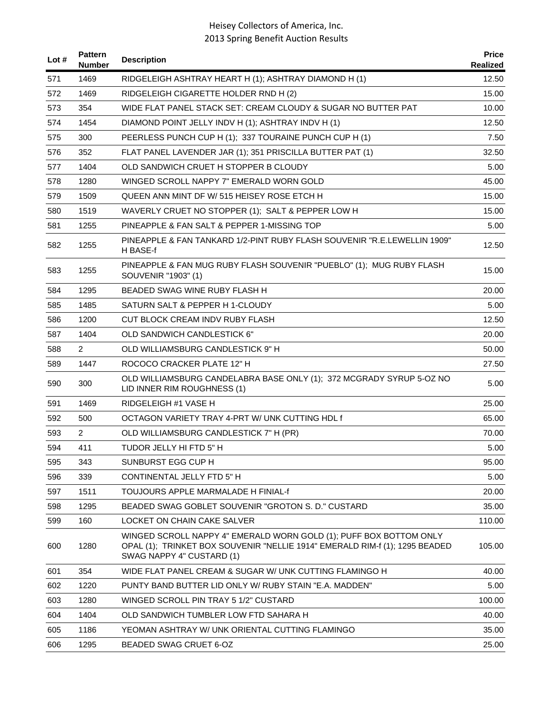| Lot # | <b>Pattern</b><br><b>Number</b> | <b>Description</b>                                                                                                                                                             | <b>Price</b><br>Realized |
|-------|---------------------------------|--------------------------------------------------------------------------------------------------------------------------------------------------------------------------------|--------------------------|
| 571   | 1469                            | RIDGELEIGH ASHTRAY HEART H (1); ASHTRAY DIAMOND H (1)                                                                                                                          | 12.50                    |
| 572   | 1469                            | RIDGELEIGH CIGARETTE HOLDER RND H (2)                                                                                                                                          | 15.00                    |
| 573   | 354                             | WIDE FLAT PANEL STACK SET: CREAM CLOUDY & SUGAR NO BUTTER PAT                                                                                                                  | 10.00                    |
| 574   | 1454                            | DIAMOND POINT JELLY INDV H (1); ASHTRAY INDV H (1)                                                                                                                             | 12.50                    |
| 575   | 300                             | PEERLESS PUNCH CUP H (1); 337 TOURAINE PUNCH CUP H (1)                                                                                                                         | 7.50                     |
| 576   | 352                             | FLAT PANEL LAVENDER JAR (1); 351 PRISCILLA BUTTER PAT (1)                                                                                                                      | 32.50                    |
| 577   | 1404                            | OLD SANDWICH CRUET H STOPPER B CLOUDY                                                                                                                                          | 5.00                     |
| 578   | 1280                            | WINGED SCROLL NAPPY 7" EMERALD WORN GOLD                                                                                                                                       | 45.00                    |
| 579   | 1509                            | QUEEN ANN MINT DF W/ 515 HEISEY ROSE ETCH H                                                                                                                                    | 15.00                    |
| 580   | 1519                            | WAVERLY CRUET NO STOPPER (1); SALT & PEPPER LOW H                                                                                                                              | 15.00                    |
| 581   | 1255                            | PINEAPPLE & FAN SALT & PEPPER 1-MISSING TOP                                                                                                                                    | 5.00                     |
| 582   | 1255                            | PINEAPPLE & FAN TANKARD 1/2-PINT RUBY FLASH SOUVENIR "R.E.LEWELLIN 1909"<br>H BASE-f                                                                                           | 12.50                    |
| 583   | 1255                            | PINEAPPLE & FAN MUG RUBY FLASH SOUVENIR "PUEBLO" (1); MUG RUBY FLASH<br>SOUVENIR "1903" (1)                                                                                    | 15.00                    |
| 584   | 1295                            | BEADED SWAG WINE RUBY FLASH H                                                                                                                                                  | 20.00                    |
| 585   | 1485                            | SATURN SALT & PEPPER H 1-CLOUDY                                                                                                                                                | 5.00                     |
| 586   | 1200                            | CUT BLOCK CREAM INDV RUBY FLASH                                                                                                                                                | 12.50                    |
| 587   | 1404                            | OLD SANDWICH CANDLESTICK 6"                                                                                                                                                    | 20.00                    |
| 588   | $\overline{2}$                  | OLD WILLIAMSBURG CANDLESTICK 9" H                                                                                                                                              | 50.00                    |
| 589   | 1447                            | ROCOCO CRACKER PLATE 12" H                                                                                                                                                     | 27.50                    |
| 590   | 300                             | OLD WILLIAMSBURG CANDELABRA BASE ONLY (1); 372 MCGRADY SYRUP 5-OZ NO<br>LID INNER RIM ROUGHNESS (1)                                                                            | 5.00                     |
| 591   | 1469                            | RIDGELEIGH #1 VASE H                                                                                                                                                           | 25.00                    |
| 592   | 500                             | OCTAGON VARIETY TRAY 4-PRT W/ UNK CUTTING HDL f                                                                                                                                | 65.00                    |
| 593   | $\overline{2}$                  | OLD WILLIAMSBURG CANDLESTICK 7" H (PR)                                                                                                                                         | 70.00                    |
| 594   | 411                             | TUDOR JELLY HI FTD 5" H                                                                                                                                                        | 5.00                     |
| 595   | 343                             | SUNBURST EGG CUP H                                                                                                                                                             | 95.00                    |
| 596   | 339                             | CONTINENTAL JELLY FTD 5" H                                                                                                                                                     | 5.00                     |
| 597   | 1511                            | TOUJOURS APPLE MARMALADE H FINIAL-f                                                                                                                                            | 20.00                    |
| 598   | 1295                            | BEADED SWAG GOBLET SOUVENIR "GROTON S. D." CUSTARD                                                                                                                             | 35.00                    |
| 599   | 160                             | LOCKET ON CHAIN CAKE SALVER                                                                                                                                                    | 110.00                   |
| 600   | 1280                            | WINGED SCROLL NAPPY 4" EMERALD WORN GOLD (1); PUFF BOX BOTTOM ONLY<br>OPAL (1); TRINKET BOX SOUVENIR "NELLIE 1914" EMERALD RIM-f (1); 1295 BEADED<br>SWAG NAPPY 4" CUSTARD (1) | 105.00                   |
| 601   | 354                             | WIDE FLAT PANEL CREAM & SUGAR W/ UNK CUTTING FLAMINGO H                                                                                                                        | 40.00                    |
| 602   | 1220                            | PUNTY BAND BUTTER LID ONLY W/ RUBY STAIN "E.A. MADDEN"                                                                                                                         | 5.00                     |
| 603   | 1280                            | WINGED SCROLL PIN TRAY 5 1/2" CUSTARD                                                                                                                                          | 100.00                   |
| 604   | 1404                            | OLD SANDWICH TUMBLER LOW FTD SAHARA H                                                                                                                                          | 40.00                    |
| 605   | 1186                            | YEOMAN ASHTRAY W/ UNK ORIENTAL CUTTING FLAMINGO                                                                                                                                | 35.00                    |
| 606   | 1295                            | BEADED SWAG CRUET 6-OZ                                                                                                                                                         | 25.00                    |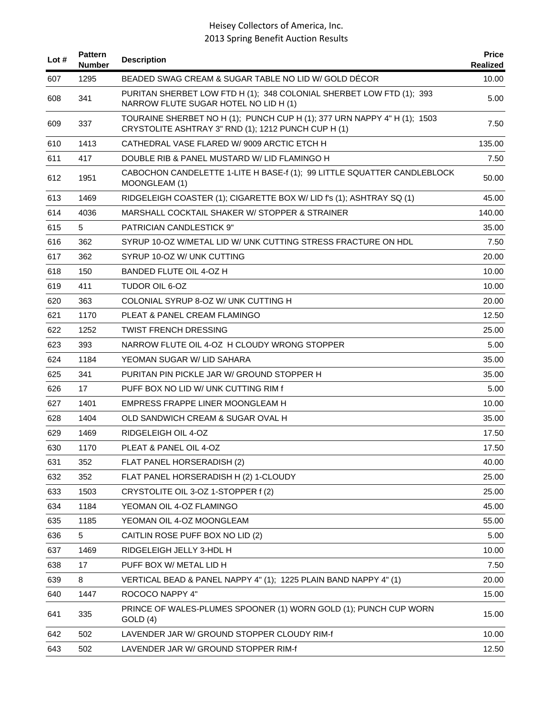| Lot $#$ | <b>Pattern</b><br><b>Number</b> | <b>Description</b>                                                                                                              | <b>Price</b><br>Realized |
|---------|---------------------------------|---------------------------------------------------------------------------------------------------------------------------------|--------------------------|
| 607     | 1295                            | BEADED SWAG CREAM & SUGAR TABLE NO LID W/ GOLD DECOR                                                                            | 10.00                    |
| 608     | 341                             | PURITAN SHERBET LOW FTD H (1); 348 COLONIAL SHERBET LOW FTD (1); 393<br>NARROW FLUTE SUGAR HOTEL NO LID H (1)                   | 5.00                     |
| 609     | 337                             | TOURAINE SHERBET NO H (1); PUNCH CUP H (1); 377 URN NAPPY 4" H (1); 1503<br>CRYSTOLITE ASHTRAY 3" RND (1); 1212 PUNCH CUP H (1) | 7.50                     |
| 610     | 1413                            | CATHEDRAL VASE FLARED W/9009 ARCTIC ETCH H                                                                                      | 135.00                   |
| 611     | 417                             | DOUBLE RIB & PANEL MUSTARD W/ LID FLAMINGO H                                                                                    | 7.50                     |
| 612     | 1951                            | CABOCHON CANDELETTE 1-LITE H BASE-f (1); 99 LITTLE SQUATTER CANDLEBLOCK<br>MOONGLEAM (1)                                        | 50.00                    |
| 613     | 1469                            | RIDGELEIGH COASTER (1); CIGARETTE BOX W/ LID f's (1); ASHTRAY SQ (1)                                                            | 45.00                    |
| 614     | 4036                            | MARSHALL COCKTAIL SHAKER W/ STOPPER & STRAINER                                                                                  | 140.00                   |
| 615     | 5                               | <b>PATRICIAN CANDLESTICK 9"</b>                                                                                                 | 35.00                    |
| 616     | 362                             | SYRUP 10-OZ W/METAL LID W/ UNK CUTTING STRESS FRACTURE ON HDL                                                                   | 7.50                     |
| 617     | 362                             | SYRUP 10-OZ W/ UNK CUTTING                                                                                                      | 20.00                    |
| 618     | 150                             | BANDED FLUTE OIL 4-OZ H                                                                                                         | 10.00                    |
| 619     | 411                             | TUDOR OIL 6-OZ                                                                                                                  | 10.00                    |
| 620     | 363                             | COLONIAL SYRUP 8-OZ W/ UNK CUTTING H                                                                                            | 20.00                    |
| 621     | 1170                            | PLEAT & PANEL CREAM FLAMINGO                                                                                                    | 12.50                    |
| 622     | 1252                            | <b>TWIST FRENCH DRESSING</b>                                                                                                    | 25.00                    |
| 623     | 393                             | NARROW FLUTE OIL 4-OZ H CLOUDY WRONG STOPPER                                                                                    | 5.00                     |
| 624     | 1184                            | YEOMAN SUGAR W/ LID SAHARA                                                                                                      | 35.00                    |
| 625     | 341                             | PURITAN PIN PICKLE JAR W/ GROUND STOPPER H                                                                                      | 35.00                    |
| 626     | 17                              | PUFF BOX NO LID W/ UNK CUTTING RIM f                                                                                            | 5.00                     |
| 627     | 1401                            | EMPRESS FRAPPE LINER MOONGLEAM H                                                                                                | 10.00                    |
| 628     | 1404                            | OLD SANDWICH CREAM & SUGAR OVAL H                                                                                               | 35.00                    |
| 629     | 1469                            | RIDGELEIGH OIL 4-OZ                                                                                                             | 17.50                    |
| 630     | 1170                            | PLEAT & PANEL OIL 4-OZ                                                                                                          | 17.50                    |
| 631     | 352                             | FLAT PANEL HORSERADISH (2)                                                                                                      | 40.00                    |
| 632     | 352                             | FLAT PANEL HORSERADISH H (2) 1-CLOUDY                                                                                           | 25.00                    |
| 633     | 1503                            | CRYSTOLITE OIL 3-OZ 1-STOPPER f (2)                                                                                             | 25.00                    |
| 634     | 1184                            | YEOMAN OIL 4-OZ FLAMINGO                                                                                                        | 45.00                    |
| 635     | 1185                            | YEOMAN OIL 4-OZ MOONGLEAM                                                                                                       | 55.00                    |
| 636     | 5                               | CAITLIN ROSE PUFF BOX NO LID (2)                                                                                                | 5.00                     |
| 637     | 1469                            | RIDGELEIGH JELLY 3-HDL H                                                                                                        | 10.00                    |
| 638     | 17                              | PUFF BOX W/ METAL LID H                                                                                                         | 7.50                     |
| 639     | 8                               | VERTICAL BEAD & PANEL NAPPY 4" (1); 1225 PLAIN BAND NAPPY 4" (1)                                                                | 20.00                    |
| 640     | 1447                            | ROCOCO NAPPY 4"                                                                                                                 | 15.00                    |
| 641     | 335                             | PRINCE OF WALES-PLUMES SPOONER (1) WORN GOLD (1); PUNCH CUP WORN<br>GOLD (4)                                                    | 15.00                    |
| 642     | 502                             | LAVENDER JAR W/ GROUND STOPPER CLOUDY RIM-f                                                                                     | 10.00                    |
| 643     | 502                             | LAVENDER JAR W/ GROUND STOPPER RIM-f                                                                                            | 12.50                    |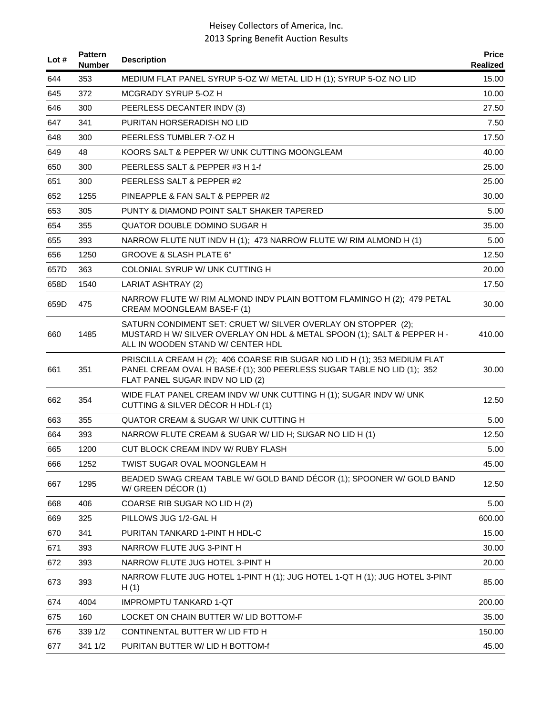| Lot $#$ | <b>Pattern</b><br><b>Number</b> | <b>Description</b>                                                                                                                                                                       | <b>Price</b><br>Realized |
|---------|---------------------------------|------------------------------------------------------------------------------------------------------------------------------------------------------------------------------------------|--------------------------|
| 644     | 353                             | MEDIUM FLAT PANEL SYRUP 5-OZ W/ METAL LID H (1); SYRUP 5-OZ NO LID                                                                                                                       | 15.00                    |
| 645     | 372                             | MCGRADY SYRUP 5-OZ H                                                                                                                                                                     | 10.00                    |
| 646     | 300                             | PEERLESS DECANTER INDV (3)                                                                                                                                                               | 27.50                    |
| 647     | 341                             | PURITAN HORSERADISH NO LID                                                                                                                                                               | 7.50                     |
| 648     | 300                             | PEERLESS TUMBLER 7-OZ H                                                                                                                                                                  | 17.50                    |
| 649     | 48                              | KOORS SALT & PEPPER W/ UNK CUTTING MOONGLEAM                                                                                                                                             | 40.00                    |
| 650     | 300                             | PEERLESS SALT & PEPPER #3 H 1-f                                                                                                                                                          | 25.00                    |
| 651     | 300                             | PEERLESS SALT & PEPPER #2                                                                                                                                                                | 25.00                    |
| 652     | 1255                            | PINEAPPLE & FAN SALT & PEPPER #2                                                                                                                                                         | 30.00                    |
| 653     | 305                             | PUNTY & DIAMOND POINT SALT SHAKER TAPERED                                                                                                                                                | 5.00                     |
| 654     | 355                             | QUATOR DOUBLE DOMINO SUGAR H                                                                                                                                                             | 35.00                    |
| 655     | 393                             | NARROW FLUTE NUT INDV H (1); 473 NARROW FLUTE W/ RIM ALMOND H (1)                                                                                                                        | 5.00                     |
| 656     | 1250                            | GROOVE & SLASH PLATE 6"                                                                                                                                                                  | 12.50                    |
| 657D    | 363                             | COLONIAL SYRUP W/ UNK CUTTING H                                                                                                                                                          | 20.00                    |
| 658D    | 1540                            | LARIAT ASHTRAY (2)                                                                                                                                                                       | 17.50                    |
| 659D    | 475                             | NARROW FLUTE W/ RIM ALMOND INDV PLAIN BOTTOM FLAMINGO H (2); 479 PETAL<br>CREAM MOONGLEAM BASE-F (1)                                                                                     | 30.00                    |
| 660     | 1485                            | SATURN CONDIMENT SET: CRUET W/ SILVER OVERLAY ON STOPPER (2);<br>MUSTARD H W/ SILVER OVERLAY ON HDL & METAL SPOON (1); SALT & PEPPER H -<br>ALL IN WOODEN STAND W/ CENTER HDL            | 410.00                   |
| 661     | 351                             | PRISCILLA CREAM H (2); 406 COARSE RIB SUGAR NO LID H (1); 353 MEDIUM FLAT<br>PANEL CREAM OVAL H BASE-f (1); 300 PEERLESS SUGAR TABLE NO LID (1); 352<br>FLAT PANEL SUGAR INDV NO LID (2) | 30.00                    |
| 662     | 354                             | WIDE FLAT PANEL CREAM INDV W/ UNK CUTTING H (1); SUGAR INDV W/ UNK<br>CUTTING & SILVER DÉCOR H HDL-f (1)                                                                                 | 12.50                    |
| 663     | 355                             | QUATOR CREAM & SUGAR W/ UNK CUTTING H                                                                                                                                                    | 5.00                     |
| 664     | 393                             | NARROW FLUTE CREAM & SUGAR W/ LID H; SUGAR NO LID H (1)                                                                                                                                  | 12.50                    |
| 665     | 1200                            | CUT BLOCK CREAM INDV W/ RUBY FLASH                                                                                                                                                       | 5.00                     |
| 666     | 1252                            | TWIST SUGAR OVAL MOONGLEAM H                                                                                                                                                             | 45.00                    |
| 667     | 1295                            | BEADED SWAG CREAM TABLE W/ GOLD BAND DÉCOR (1); SPOONER W/ GOLD BAND<br>W/ GREEN DÉCOR (1)                                                                                               | 12.50                    |
| 668     | 406                             | COARSE RIB SUGAR NO LID H (2)                                                                                                                                                            | 5.00                     |
| 669     | 325                             | PILLOWS JUG 1/2-GAL H                                                                                                                                                                    | 600.00                   |
| 670     | 341                             | PURITAN TANKARD 1-PINT H HDL-C                                                                                                                                                           | 15.00                    |
| 671     | 393                             | NARROW FLUTE JUG 3-PINT H                                                                                                                                                                | 30.00                    |
| 672     | 393                             | NARROW FLUTE JUG HOTEL 3-PINT H                                                                                                                                                          | 20.00                    |
| 673     | 393                             | NARROW FLUTE JUG HOTEL 1-PINT H (1); JUG HOTEL 1-QT H (1); JUG HOTEL 3-PINT<br>H(1)                                                                                                      | 85.00                    |
| 674     | 4004                            | <b>IMPROMPTU TANKARD 1-QT</b>                                                                                                                                                            | 200.00                   |
| 675     | 160                             | LOCKET ON CHAIN BUTTER W/ LID BOTTOM-F                                                                                                                                                   | 35.00                    |
| 676     | 339 1/2                         | CONTINENTAL BUTTER W/ LID FTD H                                                                                                                                                          | 150.00                   |
| 677     | 341 1/2                         | PURITAN BUTTER W/ LID H BOTTOM-f                                                                                                                                                         | 45.00                    |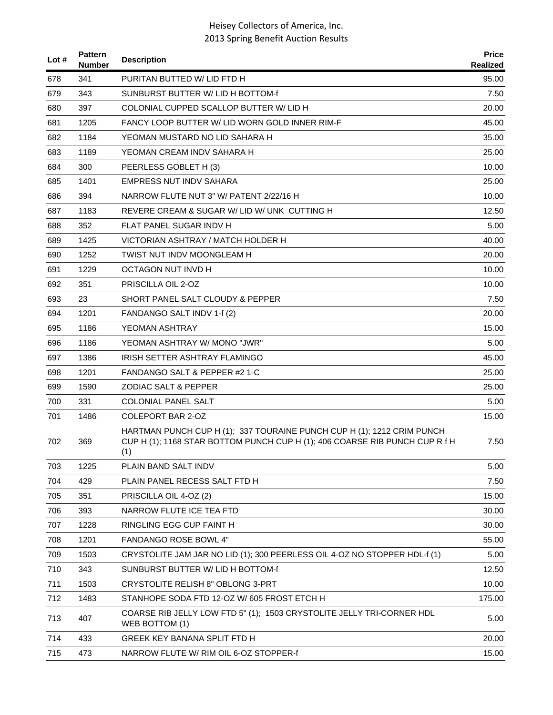| Lot # | <b>Pattern</b><br><b>Number</b> | <b>Description</b>                                                                                                                                           | <b>Price</b><br>Realized |
|-------|---------------------------------|--------------------------------------------------------------------------------------------------------------------------------------------------------------|--------------------------|
| 678   | 341                             | PURITAN BUTTED W/ LID FTD H                                                                                                                                  | 95.00                    |
| 679   | 343                             | SUNBURST BUTTER W/ LID H BOTTOM-f                                                                                                                            | 7.50                     |
| 680   | 397                             | COLONIAL CUPPED SCALLOP BUTTER W/ LID H                                                                                                                      | 20.00                    |
| 681   | 1205                            | FANCY LOOP BUTTER W/ LID WORN GOLD INNER RIM-F                                                                                                               | 45.00                    |
| 682   | 1184                            | YEOMAN MUSTARD NO LID SAHARA H                                                                                                                               | 35.00                    |
| 683   | 1189                            | YEOMAN CREAM INDV SAHARA H                                                                                                                                   | 25.00                    |
| 684   | 300                             | PEERLESS GOBLET H (3)                                                                                                                                        | 10.00                    |
| 685   | 1401                            | <b>EMPRESS NUT INDV SAHARA</b>                                                                                                                               | 25.00                    |
| 686   | 394                             | NARROW FLUTE NUT 3" W/ PATENT 2/22/16 H                                                                                                                      | 10.00                    |
| 687   | 1183                            | REVERE CREAM & SUGAR W/ LID W/ UNK CUTTING H                                                                                                                 | 12.50                    |
| 688   | 352                             | FLAT PANEL SUGAR INDV H                                                                                                                                      | 5.00                     |
| 689   | 1425                            | VICTORIAN ASHTRAY / MATCH HOLDER H                                                                                                                           | 40.00                    |
| 690   | 1252                            | TWIST NUT INDV MOONGLEAM H                                                                                                                                   | 20.00                    |
| 691   | 1229                            | OCTAGON NUT INVD H                                                                                                                                           | 10.00                    |
| 692   | 351                             | PRISCILLA OIL 2-OZ                                                                                                                                           | 10.00                    |
| 693   | 23                              | SHORT PANEL SALT CLOUDY & PEPPER                                                                                                                             | 7.50                     |
| 694   | 1201                            | FANDANGO SALT INDV 1-f (2)                                                                                                                                   | 20.00                    |
| 695   | 1186                            | YEOMAN ASHTRAY                                                                                                                                               | 15.00                    |
| 696   | 1186                            | YEOMAN ASHTRAY W/ MONO "JWR"                                                                                                                                 | 5.00                     |
| 697   | 1386                            | IRISH SETTER ASHTRAY FLAMINGO                                                                                                                                | 45.00                    |
| 698   | 1201                            | FANDANGO SALT & PEPPER #2 1-C                                                                                                                                | 25.00                    |
| 699   | 1590                            | ZODIAC SALT & PEPPER                                                                                                                                         | 25.00                    |
| 700   | 331                             | <b>COLONIAL PANEL SALT</b>                                                                                                                                   | 5.00                     |
| 701   | 1486                            | COLEPORT BAR 2-OZ                                                                                                                                            | 15.00                    |
| 702   | 369                             | HARTMAN PUNCH CUP H (1); 337 TOURAINE PUNCH CUP H (1); 1212 CRIM PUNCH<br>CUP H (1); 1168 STAR BOTTOM PUNCH CUP H (1); 406 COARSE RIB PUNCH CUP R f H<br>(1) | 7.50                     |
| 703   | 1225                            | PLAIN BAND SALT INDV                                                                                                                                         | 5.00                     |
| 704   | 429                             | PLAIN PANEL RECESS SALT FTD H                                                                                                                                | 7.50                     |
| 705   | 351                             | PRISCILLA OIL 4-OZ (2)                                                                                                                                       | 15.00                    |
| 706   | 393                             | NARROW FLUTE ICE TEA FTD                                                                                                                                     | 30.00                    |
| 707   | 1228                            | RINGLING EGG CUP FAINT H                                                                                                                                     | 30.00                    |
| 708   | 1201                            | FANDANGO ROSE BOWL 4"                                                                                                                                        | 55.00                    |
| 709   | 1503                            | CRYSTOLITE JAM JAR NO LID (1); 300 PEERLESS OIL 4-OZ NO STOPPER HDL-f (1)                                                                                    | 5.00                     |
| 710   | 343                             | SUNBURST BUTTER W/ LID H BOTTOM-f                                                                                                                            | 12.50                    |
| 711   | 1503                            | CRYSTOLITE RELISH 8" OBLONG 3-PRT                                                                                                                            | 10.00                    |
| 712   | 1483                            | STANHOPE SODA FTD 12-OZ W/ 605 FROST ETCH H                                                                                                                  | 175.00                   |
| 713   | 407                             | COARSE RIB JELLY LOW FTD 5" (1); 1503 CRYSTOLITE JELLY TRI-CORNER HDL<br>WEB BOTTOM (1)                                                                      | 5.00                     |
| 714   | 433                             | <b>GREEK KEY BANANA SPLIT FTD H</b>                                                                                                                          | 20.00                    |
| 715   | 473                             | NARROW FLUTE W/ RIM OIL 6-OZ STOPPER-f                                                                                                                       | 15.00                    |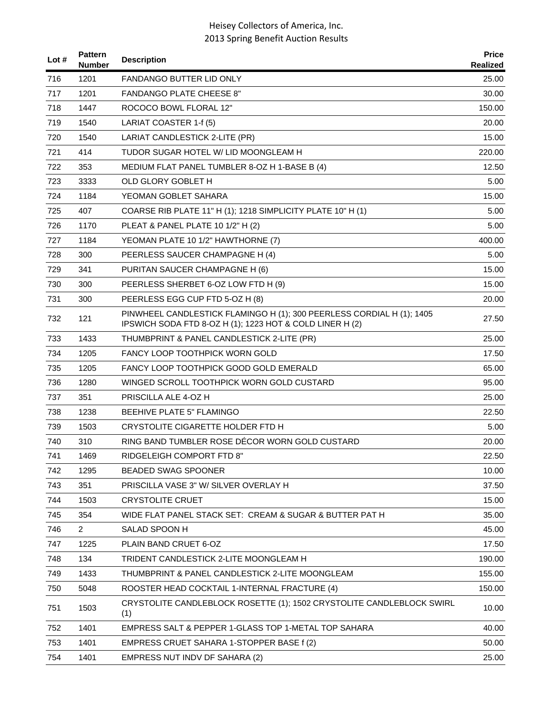| Lot $#$ | <b>Pattern</b><br><b>Number</b> | <b>Description</b>                                                                                                                | <b>Price</b><br>Realized |
|---------|---------------------------------|-----------------------------------------------------------------------------------------------------------------------------------|--------------------------|
| 716     | 1201                            | FANDANGO BUTTER LID ONLY                                                                                                          | 25.00                    |
| 717     | 1201                            | <b>FANDANGO PLATE CHEESE 8"</b>                                                                                                   | 30.00                    |
| 718     | 1447                            | ROCOCO BOWL FLORAL 12"                                                                                                            | 150.00                   |
| 719     | 1540                            | LARIAT COASTER 1-f (5)                                                                                                            | 20.00                    |
| 720     | 1540                            | LARIAT CANDLESTICK 2-LITE (PR)                                                                                                    | 15.00                    |
| 721     | 414                             | TUDOR SUGAR HOTEL W/ LID MOONGLEAM H                                                                                              | 220.00                   |
| 722     | 353                             | MEDIUM FLAT PANEL TUMBLER 8-OZ H 1-BASE B (4)                                                                                     | 12.50                    |
| 723     | 3333                            | OLD GLORY GOBLET H                                                                                                                | 5.00                     |
| 724     | 1184                            | YEOMAN GOBLET SAHARA                                                                                                              | 15.00                    |
| 725     | 407                             | COARSE RIB PLATE 11" H (1); 1218 SIMPLICITY PLATE 10" H (1)                                                                       | 5.00                     |
| 726     | 1170                            | PLEAT & PANEL PLATE 10 1/2" H (2)                                                                                                 | 5.00                     |
| 727     | 1184                            | YEOMAN PLATE 10 1/2" HAWTHORNE (7)                                                                                                | 400.00                   |
| 728     | 300                             | PEERLESS SAUCER CHAMPAGNE H (4)                                                                                                   | 5.00                     |
| 729     | 341                             | PURITAN SAUCER CHAMPAGNE H (6)                                                                                                    | 15.00                    |
| 730     | 300                             | PEERLESS SHERBET 6-OZ LOW FTD H (9)                                                                                               | 15.00                    |
| 731     | 300                             | PEERLESS EGG CUP FTD 5-OZ H (8)                                                                                                   | 20.00                    |
| 732     | 121                             | PINWHEEL CANDLESTICK FLAMINGO H (1); 300 PEERLESS CORDIAL H (1); 1405<br>IPSWICH SODA FTD 8-OZ H (1); 1223 HOT & COLD LINER H (2) | 27.50                    |
| 733     | 1433                            | THUMBPRINT & PANEL CANDLESTICK 2-LITE (PR)                                                                                        | 25.00                    |
| 734     | 1205                            | <b>FANCY LOOP TOOTHPICK WORN GOLD</b>                                                                                             | 17.50                    |
| 735     | 1205                            | FANCY LOOP TOOTHPICK GOOD GOLD EMERALD                                                                                            | 65.00                    |
| 736     | 1280                            | WINGED SCROLL TOOTHPICK WORN GOLD CUSTARD                                                                                         | 95.00                    |
| 737     | 351                             | PRISCILLA ALE 4-OZ H                                                                                                              | 25.00                    |
| 738     | 1238                            | BEEHIVE PLATE 5" FLAMINGO                                                                                                         | 22.50                    |
| 739     | 1503                            | CRYSTOLITE CIGARETTE HOLDER FTD H                                                                                                 | 5.00                     |
| 740     | 310                             | RING BAND TUMBLER ROSE DÉCOR WORN GOLD CUSTARD                                                                                    | 20.00                    |
| 741     | 1469                            | RIDGELEIGH COMPORT FTD 8"                                                                                                         | 22.50                    |
| 742     | 1295                            | <b>BEADED SWAG SPOONER</b>                                                                                                        | 10.00                    |
| 743     | 351                             | PRISCILLA VASE 3" W/ SILVER OVERLAY H                                                                                             | 37.50                    |
| 744     | 1503                            | <b>CRYSTOLITE CRUET</b>                                                                                                           | 15.00                    |
| 745     | 354                             | WIDE FLAT PANEL STACK SET: CREAM & SUGAR & BUTTER PAT H                                                                           | 35.00                    |
| 746     | $\overline{2}$                  | SALAD SPOON H                                                                                                                     | 45.00                    |
| 747     | 1225                            | PLAIN BAND CRUET 6-OZ                                                                                                             | 17.50                    |
| 748     | 134                             | TRIDENT CANDLESTICK 2-LITE MOONGLEAM H                                                                                            | 190.00                   |
| 749     | 1433                            | THUMBPRINT & PANEL CANDLESTICK 2-LITE MOONGLEAM                                                                                   | 155.00                   |
| 750     | 5048                            | ROOSTER HEAD COCKTAIL 1-INTERNAL FRACTURE (4)                                                                                     | 150.00                   |
| 751     | 1503                            | CRYSTOLITE CANDLEBLOCK ROSETTE (1); 1502 CRYSTOLITE CANDLEBLOCK SWIRL<br>(1)                                                      | 10.00                    |
| 752     | 1401                            | EMPRESS SALT & PEPPER 1-GLASS TOP 1-METAL TOP SAHARA                                                                              | 40.00                    |
| 753     | 1401                            | EMPRESS CRUET SAHARA 1-STOPPER BASE f (2)                                                                                         | 50.00                    |
| 754     | 1401                            | EMPRESS NUT INDV DF SAHARA (2)                                                                                                    | 25.00                    |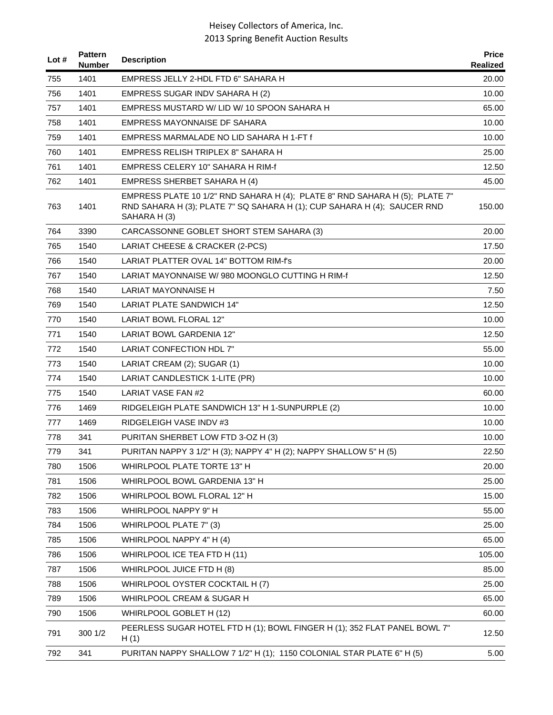| Lot # | <b>Pattern</b><br><b>Number</b> | <b>Description</b>                                                                                                                                                     | <b>Price</b><br>Realized |
|-------|---------------------------------|------------------------------------------------------------------------------------------------------------------------------------------------------------------------|--------------------------|
| 755   | 1401                            | EMPRESS JELLY 2-HDL FTD 6" SAHARA H                                                                                                                                    | 20.00                    |
| 756   | 1401                            | EMPRESS SUGAR INDV SAHARA H (2)                                                                                                                                        | 10.00                    |
| 757   | 1401                            | EMPRESS MUSTARD W/LID W/10 SPOON SAHARA H                                                                                                                              | 65.00                    |
| 758   | 1401                            | EMPRESS MAYONNAISE DF SAHARA                                                                                                                                           | 10.00                    |
| 759   | 1401                            | EMPRESS MARMALADE NO LID SAHARA H 1-FT f                                                                                                                               | 10.00                    |
| 760   | 1401                            | EMPRESS RELISH TRIPLEX 8" SAHARA H                                                                                                                                     | 25.00                    |
| 761   | 1401                            | EMPRESS CELERY 10" SAHARA H RIM-f                                                                                                                                      | 12.50                    |
| 762   | 1401                            | EMPRESS SHERBET SAHARA H (4)                                                                                                                                           | 45.00                    |
| 763   | 1401                            | EMPRESS PLATE 10 1/2" RND SAHARA H (4); PLATE 8" RND SAHARA H (5); PLATE 7"<br>RND SAHARA H (3); PLATE 7" SQ SAHARA H (1); CUP SAHARA H (4); SAUCER RND<br>SAHARA H(3) | 150.00                   |
| 764   | 3390                            | CARCASSONNE GOBLET SHORT STEM SAHARA (3)                                                                                                                               | 20.00                    |
| 765   | 1540                            | LARIAT CHEESE & CRACKER (2-PCS)                                                                                                                                        | 17.50                    |
| 766   | 1540                            | LARIAT PLATTER OVAL 14" BOTTOM RIM-f's                                                                                                                                 | 20.00                    |
| 767   | 1540                            | LARIAT MAYONNAISE W/ 980 MOONGLO CUTTING H RIM-f                                                                                                                       | 12.50                    |
| 768   | 1540                            | <b>LARIAT MAYONNAISE H</b>                                                                                                                                             | 7.50                     |
| 769   | 1540                            | LARIAT PLATE SANDWICH 14"                                                                                                                                              | 12.50                    |
| 770   | 1540                            | <b>LARIAT BOWL FLORAL 12"</b>                                                                                                                                          | 10.00                    |
| 771   | 1540                            | <b>LARIAT BOWL GARDENIA 12"</b>                                                                                                                                        | 12.50                    |
| 772   | 1540                            | LARIAT CONFECTION HDL 7"                                                                                                                                               | 55.00                    |
| 773   | 1540                            | LARIAT CREAM (2); SUGAR (1)                                                                                                                                            | 10.00                    |
| 774   | 1540                            | LARIAT CANDLESTICK 1-LITE (PR)                                                                                                                                         | 10.00                    |
| 775   | 1540                            | LARIAT VASE FAN #2                                                                                                                                                     | 60.00                    |
| 776   | 1469                            | RIDGELEIGH PLATE SANDWICH 13" H 1-SUNPURPLE (2)                                                                                                                        | 10.00                    |
| 777   | 1469                            | RIDGELEIGH VASE INDV #3                                                                                                                                                | 10.00                    |
| 778   | 341                             | PURITAN SHERBET LOW FTD 3-OZ H (3)                                                                                                                                     | 10.00                    |
| 779   | 341                             | PURITAN NAPPY 3 1/2" H (3); NAPPY 4" H (2); NAPPY SHALLOW 5" H (5)                                                                                                     | 22.50                    |
| 780   | 1506                            | WHIRLPOOL PLATE TORTE 13" H                                                                                                                                            | 20.00                    |
| 781   | 1506                            | WHIRLPOOL BOWL GARDENIA 13" H                                                                                                                                          | 25.00                    |
| 782   | 1506                            | WHIRLPOOL BOWL FLORAL 12" H                                                                                                                                            | 15.00                    |
| 783   | 1506                            | WHIRLPOOL NAPPY 9" H                                                                                                                                                   | 55.00                    |
| 784   | 1506                            | WHIRLPOOL PLATE 7" (3)                                                                                                                                                 | 25.00                    |
| 785   | 1506                            | WHIRLPOOL NAPPY 4" H (4)                                                                                                                                               | 65.00                    |
| 786   | 1506                            | WHIRLPOOL ICE TEA FTD H (11)                                                                                                                                           | 105.00                   |
| 787   | 1506                            | WHIRLPOOL JUICE FTD H (8)                                                                                                                                              | 85.00                    |
| 788   | 1506                            | WHIRLPOOL OYSTER COCKTAIL H (7)                                                                                                                                        | 25.00                    |
| 789   | 1506                            | WHIRLPOOL CREAM & SUGAR H                                                                                                                                              | 65.00                    |
| 790   | 1506                            | WHIRLPOOL GOBLET H (12)                                                                                                                                                | 60.00                    |
| 791   | 300 1/2                         | PEERLESS SUGAR HOTEL FTD H (1); BOWL FINGER H (1); 352 FLAT PANEL BOWL 7"<br>H(1)                                                                                      | 12.50                    |
| 792   | 341                             | PURITAN NAPPY SHALLOW 7 1/2" H (1); 1150 COLONIAL STAR PLATE 6" H (5)                                                                                                  | 5.00                     |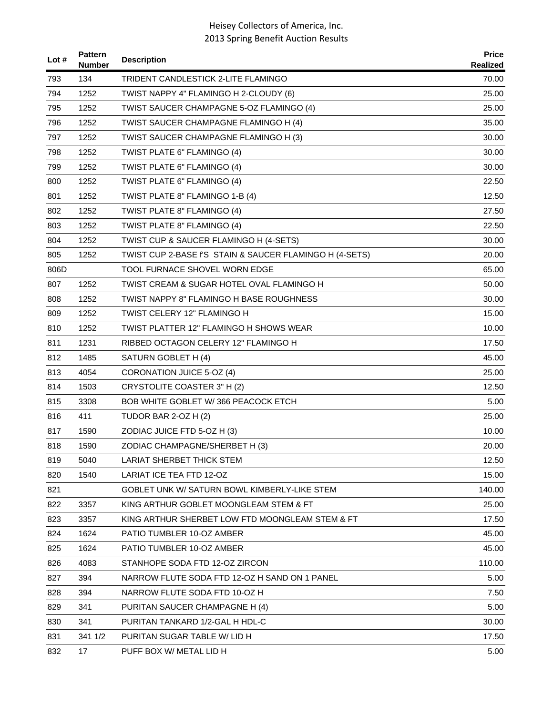| Lot $#$ | <b>Pattern</b><br>Number | <b>Description</b>                                      | <b>Price</b><br>Realized |
|---------|--------------------------|---------------------------------------------------------|--------------------------|
| 793     | 134                      | TRIDENT CANDLESTICK 2-LITE FLAMINGO                     | 70.00                    |
| 794     | 1252                     | TWIST NAPPY 4" FLAMINGO H 2-CLOUDY (6)                  | 25.00                    |
| 795     | 1252                     | TWIST SAUCER CHAMPAGNE 5-OZ FLAMINGO (4)                | 25.00                    |
| 796     | 1252                     | TWIST SAUCER CHAMPAGNE FLAMINGO H (4)                   | 35.00                    |
| 797     | 1252                     | TWIST SAUCER CHAMPAGNE FLAMINGO H (3)                   | 30.00                    |
| 798     | 1252                     | TWIST PLATE 6" FLAMINGO (4)                             | 30.00                    |
| 799     | 1252                     | TWIST PLATE 6" FLAMINGO (4)                             | 30.00                    |
| 800     | 1252                     | TWIST PLATE 6" FLAMINGO (4)                             | 22.50                    |
| 801     | 1252                     | TWIST PLATE 8" FLAMINGO 1-B (4)                         | 12.50                    |
| 802     | 1252                     | TWIST PLATE 8" FLAMINGO (4)                             | 27.50                    |
| 803     | 1252                     | TWIST PLATE 8" FLAMINGO (4)                             | 22.50                    |
| 804     | 1252                     | TWIST CUP & SAUCER FLAMINGO H (4-SETS)                  | 30.00                    |
| 805     | 1252                     | TWIST CUP 2-BASE f'S STAIN & SAUCER FLAMINGO H (4-SETS) | 20.00                    |
| 806D    |                          | <b>TOOL FURNACE SHOVEL WORN EDGE</b>                    | 65.00                    |
| 807     | 1252                     | TWIST CREAM & SUGAR HOTEL OVAL FLAMINGO H               | 50.00                    |
| 808     | 1252                     | <b>TWIST NAPPY 8" FLAMINGO H BASE ROUGHNESS</b>         | 30.00                    |
| 809     | 1252                     | TWIST CELERY 12" FLAMINGO H                             | 15.00                    |
| 810     | 1252                     | TWIST PLATTER 12" FLAMINGO H SHOWS WEAR                 | 10.00                    |
| 811     | 1231                     | RIBBED OCTAGON CELERY 12" FLAMINGO H                    | 17.50                    |
| 812     | 1485                     | SATURN GOBLET H (4)                                     | 45.00                    |
| 813     | 4054                     | CORONATION JUICE 5-OZ (4)                               | 25.00                    |
| 814     | 1503                     | CRYSTOLITE COASTER 3" H (2)                             | 12.50                    |
| 815     | 3308                     | BOB WHITE GOBLET W/366 PEACOCK ETCH                     | 5.00                     |
| 816     | 411                      | TUDOR BAR 2-OZ H (2)                                    | 25.00                    |
| 817     | 1590                     | ZODIAC JUICE FTD 5-OZ H (3)                             | 10.00                    |
| 818     | 1590                     | ZODIAC CHAMPAGNE/SHERBET H (3)                          | 20.00                    |
| 819     | 5040                     | <b>LARIAT SHERBET THICK STEM</b>                        | 12.50                    |
| 820     | 1540                     | <b>LARIAT ICE TEA FTD 12-OZ</b>                         | 15.00                    |
| 821     |                          | GOBLET UNK W/ SATURN BOWL KIMBERLY-LIKE STEM            | 140.00                   |
| 822     | 3357                     | KING ARTHUR GOBLET MOONGLEAM STEM & FT                  | 25.00                    |
| 823     | 3357                     | KING ARTHUR SHERBET LOW FTD MOONGLEAM STEM & FT         | 17.50                    |
| 824     | 1624                     | PATIO TUMBLER 10-OZ AMBER                               | 45.00                    |
| 825     | 1624                     | PATIO TUMBLER 10-OZ AMBER                               | 45.00                    |
| 826     | 4083                     | STANHOPE SODA FTD 12-OZ ZIRCON                          | 110.00                   |
| 827     | 394                      | NARROW FLUTE SODA FTD 12-OZ H SAND ON 1 PANEL           | 5.00                     |
| 828     | 394                      | NARROW FLUTE SODA FTD 10-OZ H                           | 7.50                     |
| 829     | 341                      | PURITAN SAUCER CHAMPAGNE H (4)                          | 5.00                     |
| 830     | 341                      | PURITAN TANKARD 1/2-GAL H HDL-C                         | 30.00                    |
| 831     | 341 1/2                  | PURITAN SUGAR TABLE W/ LID H                            | 17.50                    |
| 832     | 17                       | PUFF BOX W/ METAL LID H                                 | 5.00                     |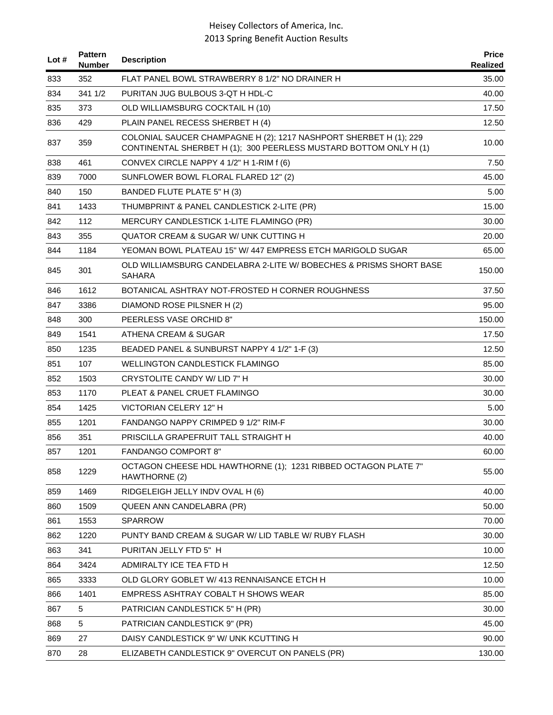| Lot # | <b>Pattern</b><br><b>Number</b> | <b>Description</b>                                                                                                                     | <b>Price</b><br>Realized |
|-------|---------------------------------|----------------------------------------------------------------------------------------------------------------------------------------|--------------------------|
| 833   | 352                             | FLAT PANEL BOWL STRAWBERRY 8 1/2" NO DRAINER H                                                                                         | 35.00                    |
| 834   | 341 1/2                         | PURITAN JUG BULBOUS 3-QT H HDL-C                                                                                                       | 40.00                    |
| 835   | 373                             | OLD WILLIAMSBURG COCKTAIL H (10)                                                                                                       | 17.50                    |
| 836   | 429                             | PLAIN PANEL RECESS SHERBET H (4)                                                                                                       | 12.50                    |
| 837   | 359                             | COLONIAL SAUCER CHAMPAGNE H (2); 1217 NASHPORT SHERBET H (1); 229<br>CONTINENTAL SHERBET H (1); 300 PEERLESS MUSTARD BOTTOM ONLY H (1) | 10.00                    |
| 838   | 461                             | CONVEX CIRCLE NAPPY 4 1/2" H 1-RIM f (6)                                                                                               | 7.50                     |
| 839   | 7000                            | SUNFLOWER BOWL FLORAL FLARED 12" (2)                                                                                                   | 45.00                    |
| 840   | 150                             | BANDED FLUTE PLATE 5" H (3)                                                                                                            | 5.00                     |
| 841   | 1433                            | THUMBPRINT & PANEL CANDLESTICK 2-LITE (PR)                                                                                             | 15.00                    |
| 842   | 112                             | MERCURY CANDLESTICK 1-LITE FLAMINGO (PR)                                                                                               | 30.00                    |
| 843   | 355                             | QUATOR CREAM & SUGAR W/ UNK CUTTING H                                                                                                  | 20.00                    |
| 844   | 1184                            | YEOMAN BOWL PLATEAU 15" W/ 447 EMPRESS ETCH MARIGOLD SUGAR                                                                             | 65.00                    |
| 845   | 301                             | OLD WILLIAMSBURG CANDELABRA 2-LITE W/ BOBECHES & PRISMS SHORT BASE<br><b>SAHARA</b>                                                    | 150.00                   |
| 846   | 1612                            | BOTANICAL ASHTRAY NOT-FROSTED H CORNER ROUGHNESS                                                                                       | 37.50                    |
| 847   | 3386                            | DIAMOND ROSE PILSNER H (2)                                                                                                             | 95.00                    |
| 848   | 300                             | PEERLESS VASE ORCHID 8"                                                                                                                | 150.00                   |
| 849   | 1541                            | ATHENA CREAM & SUGAR                                                                                                                   | 17.50                    |
| 850   | 1235                            | BEADED PANEL & SUNBURST NAPPY 4 1/2" 1-F (3)                                                                                           | 12.50                    |
| 851   | 107                             | WELLINGTON CANDLESTICK FLAMINGO                                                                                                        | 85.00                    |
| 852   | 1503                            | CRYSTOLITE CANDY W/LID 7" H                                                                                                            | 30.00                    |
| 853   | 1170                            | PLEAT & PANEL CRUET FLAMINGO                                                                                                           | 30.00                    |
| 854   | 1425                            | VICTORIAN CELERY 12" H                                                                                                                 | 5.00                     |
| 855   | 1201                            | FANDANGO NAPPY CRIMPED 9 1/2" RIM-F                                                                                                    | 30.00                    |
| 856   | 351                             | PRISCILLA GRAPEFRUIT TALL STRAIGHT H                                                                                                   | 40.00                    |
| 857   | 1201                            | <b>FANDANGO COMPORT 8"</b>                                                                                                             | 60.00                    |
| 858   | 1229                            | OCTAGON CHEESE HDL HAWTHORNE (1); 1231 RIBBED OCTAGON PLATE 7"<br>HAWTHORNE (2)                                                        | 55.00                    |
| 859   | 1469                            | RIDGELEIGH JELLY INDV OVAL H (6)                                                                                                       | 40.00                    |
| 860   | 1509                            | QUEEN ANN CANDELABRA (PR)                                                                                                              | 50.00                    |
| 861   | 1553                            | <b>SPARROW</b>                                                                                                                         | 70.00                    |
| 862   | 1220                            | PUNTY BAND CREAM & SUGAR W/ LID TABLE W/ RUBY FLASH                                                                                    | 30.00                    |
| 863   | 341                             | PURITAN JELLY FTD 5" H                                                                                                                 | 10.00                    |
| 864   | 3424                            | ADMIRALTY ICE TEA FTD H                                                                                                                | 12.50                    |
| 865   | 3333                            | OLD GLORY GOBLET W/ 413 RENNAISANCE ETCH H                                                                                             | 10.00                    |
| 866   | 1401                            | EMPRESS ASHTRAY COBALT H SHOWS WEAR                                                                                                    | 85.00                    |
| 867   | 5                               | PATRICIAN CANDLESTICK 5" H (PR)                                                                                                        | 30.00                    |
| 868   | 5                               | PATRICIAN CANDLESTICK 9" (PR)                                                                                                          | 45.00                    |
| 869   | 27                              | DAISY CANDLESTICK 9" W/ UNK KCUTTING H                                                                                                 | 90.00                    |
| 870   | 28                              | ELIZABETH CANDLESTICK 9" OVERCUT ON PANELS (PR)                                                                                        | 130.00                   |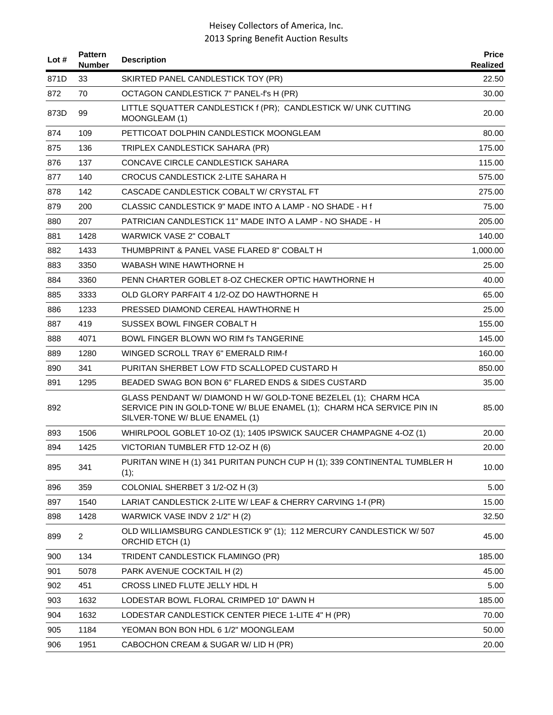| Lot $#$ | <b>Pattern</b><br><b>Number</b> | <b>Description</b>                                                                                                                                                        | <b>Price</b><br>Realized |
|---------|---------------------------------|---------------------------------------------------------------------------------------------------------------------------------------------------------------------------|--------------------------|
| 871D    | 33                              | SKIRTED PANEL CANDLESTICK TOY (PR)                                                                                                                                        | 22.50                    |
| 872     | 70                              | OCTAGON CANDLESTICK 7" PANEL-f's H (PR)                                                                                                                                   | 30.00                    |
| 873D    | 99                              | LITTLE SQUATTER CANDLESTICK f (PR); CANDLESTICK W/ UNK CUTTING<br>MOONGLEAM (1)                                                                                           | 20.00                    |
| 874     | 109                             | PETTICOAT DOLPHIN CANDLESTICK MOONGLEAM                                                                                                                                   | 80.00                    |
| 875     | 136                             | TRIPLEX CANDLESTICK SAHARA (PR)                                                                                                                                           | 175.00                   |
| 876     | 137                             | CONCAVE CIRCLE CANDLESTICK SAHARA                                                                                                                                         | 115.00                   |
| 877     | 140                             | CROCUS CANDLESTICK 2-LITE SAHARA H                                                                                                                                        | 575.00                   |
| 878     | 142                             | CASCADE CANDLESTICK COBALT W/ CRYSTAL FT                                                                                                                                  | 275.00                   |
| 879     | 200                             | CLASSIC CANDLESTICK 9" MADE INTO A LAMP - NO SHADE - H f                                                                                                                  | 75.00                    |
| 880     | 207                             | PATRICIAN CANDLESTICK 11" MADE INTO A LAMP - NO SHADE - H                                                                                                                 | 205.00                   |
| 881     | 1428                            | <b>WARWICK VASE 2" COBALT</b>                                                                                                                                             | 140.00                   |
| 882     | 1433                            | THUMBPRINT & PANEL VASE FLARED 8" COBALT H                                                                                                                                | 1,000.00                 |
| 883     | 3350                            | WABASH WINE HAWTHORNE H                                                                                                                                                   | 25.00                    |
| 884     | 3360                            | PENN CHARTER GOBLET 8-OZ CHECKER OPTIC HAWTHORNE H                                                                                                                        | 40.00                    |
| 885     | 3333                            | OLD GLORY PARFAIT 4 1/2-OZ DO HAWTHORNE H                                                                                                                                 | 65.00                    |
| 886     | 1233                            | PRESSED DIAMOND CEREAL HAWTHORNE H                                                                                                                                        | 25.00                    |
| 887     | 419                             | SUSSEX BOWL FINGER COBALT H                                                                                                                                               | 155.00                   |
| 888     | 4071                            | BOWL FINGER BLOWN WO RIM I'S TANGERINE                                                                                                                                    | 145.00                   |
| 889     | 1280                            | WINGED SCROLL TRAY 6" EMERALD RIM-f                                                                                                                                       | 160.00                   |
| 890     | 341                             | PURITAN SHERBET LOW FTD SCALLOPED CUSTARD H                                                                                                                               | 850.00                   |
| 891     | 1295                            | BEADED SWAG BON BON 6" FLARED ENDS & SIDES CUSTARD                                                                                                                        | 35.00                    |
| 892     |                                 | GLASS PENDANT W/ DIAMOND H W/ GOLD-TONE BEZELEL (1); CHARM HCA<br>SERVICE PIN IN GOLD-TONE W/ BLUE ENAMEL (1); CHARM HCA SERVICE PIN IN<br>SILVER-TONE W/ BLUE ENAMEL (1) | 85.00                    |
| 893     | 1506                            | WHIRLPOOL GOBLET 10-OZ (1); 1405 IPSWICK SAUCER CHAMPAGNE 4-OZ (1)                                                                                                        | 20.00                    |
| 894     | 1425                            | VICTORIAN TUMBLER FTD 12-OZ H (6)                                                                                                                                         | 20.00                    |
| 895     | 341                             | PURITAN WINE H (1) 341 PURITAN PUNCH CUP H (1); 339 CONTINENTAL TUMBLER H<br>(1);                                                                                         | 10.00                    |
| 896     | 359                             | COLONIAL SHERBET 3 1/2-OZ H (3)                                                                                                                                           | 5.00                     |
| 897     | 1540                            | LARIAT CANDLESTICK 2-LITE W/ LEAF & CHERRY CARVING 1-f (PR)                                                                                                               | 15.00                    |
| 898     | 1428                            | WARWICK VASE INDV 2 1/2" H (2)                                                                                                                                            | 32.50                    |
| 899     | $\overline{2}$                  | OLD WILLIAMSBURG CANDLESTICK 9" (1); 112 MERCURY CANDLESTICK W/ 507<br>ORCHID ETCH (1)                                                                                    | 45.00                    |
| 900     | 134                             | TRIDENT CANDLESTICK FLAMINGO (PR)                                                                                                                                         | 185.00                   |
| 901     | 5078                            | PARK AVENUE COCKTAIL H (2)                                                                                                                                                | 45.00                    |
| 902     | 451                             | CROSS LINED FLUTE JELLY HDL H                                                                                                                                             | 5.00                     |
| 903     | 1632                            | LODESTAR BOWL FLORAL CRIMPED 10" DAWN H                                                                                                                                   | 185.00                   |
| 904     | 1632                            | LODESTAR CANDLESTICK CENTER PIECE 1-LITE 4" H (PR)                                                                                                                        | 70.00                    |
| 905     | 1184                            | YEOMAN BON BON HDL 6 1/2" MOONGLEAM                                                                                                                                       | 50.00                    |
| 906     | 1951                            | CABOCHON CREAM & SUGAR W/ LID H (PR)                                                                                                                                      | 20.00                    |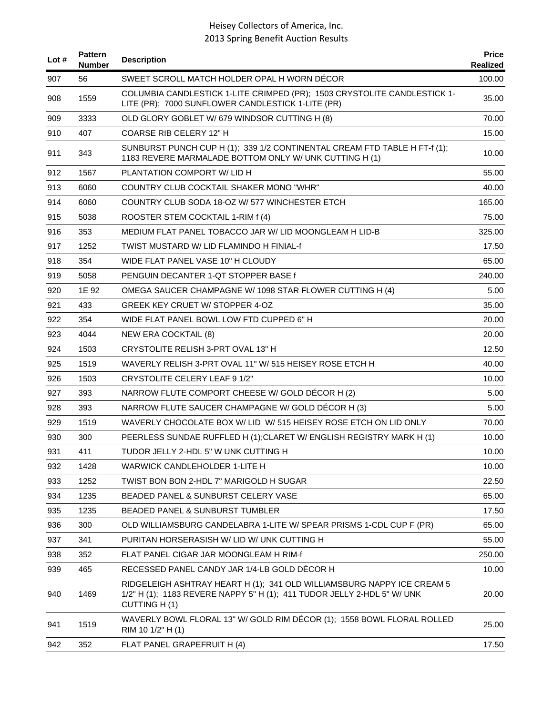| Lot # | <b>Pattern</b><br><b>Number</b> | <b>Description</b>                                                                                                                                                | <b>Price</b><br>Realized |
|-------|---------------------------------|-------------------------------------------------------------------------------------------------------------------------------------------------------------------|--------------------------|
| 907   | 56                              | SWEET SCROLL MATCH HOLDER OPAL H WORN DÉCOR                                                                                                                       | 100.00                   |
| 908   | 1559                            | COLUMBIA CANDLESTICK 1-LITE CRIMPED (PR); 1503 CRYSTOLITE CANDLESTICK 1-<br>LITE (PR); 7000 SUNFLOWER CANDLESTICK 1-LITE (PR)                                     | 35.00                    |
| 909   | 3333                            | OLD GLORY GOBLET W/ 679 WINDSOR CUTTING H (8)                                                                                                                     | 70.00                    |
| 910   | 407                             | <b>COARSE RIB CELERY 12" H</b>                                                                                                                                    | 15.00                    |
| 911   | 343                             | SUNBURST PUNCH CUP H (1); 339 1/2 CONTINENTAL CREAM FTD TABLE H FT-f (1);<br>1183 REVERE MARMALADE BOTTOM ONLY W/ UNK CUTTING H (1)                               | 10.00                    |
| 912   | 1567                            | PLANTATION COMPORT W/ LID H                                                                                                                                       | 55.00                    |
| 913   | 6060                            | COUNTRY CLUB COCKTAIL SHAKER MONO "WHR"                                                                                                                           | 40.00                    |
| 914   | 6060                            | COUNTRY CLUB SODA 18-OZ W/ 577 WINCHESTER ETCH                                                                                                                    | 165.00                   |
| 915   | 5038                            | ROOSTER STEM COCKTAIL 1-RIM f (4)                                                                                                                                 | 75.00                    |
| 916   | 353                             | MEDIUM FLAT PANEL TOBACCO JAR W/ LID MOONGLEAM H LID-B                                                                                                            | 325.00                   |
| 917   | 1252                            | TWIST MUSTARD W/ LID FLAMINDO H FINIAL-f                                                                                                                          | 17.50                    |
| 918   | 354                             | WIDE FLAT PANEL VASE 10" H CLOUDY                                                                                                                                 | 65.00                    |
| 919   | 5058                            | PENGUIN DECANTER 1-QT STOPPER BASE f                                                                                                                              | 240.00                   |
| 920   | 1E 92                           | OMEGA SAUCER CHAMPAGNE W/ 1098 STAR FLOWER CUTTING H (4)                                                                                                          | 5.00                     |
| 921   | 433                             | <b>GREEK KEY CRUET W/ STOPPER 4-OZ</b>                                                                                                                            | 35.00                    |
| 922   | 354                             | WIDE FLAT PANEL BOWL LOW FTD CUPPED 6" H                                                                                                                          | 20.00                    |
| 923   | 4044                            | NEW ERA COCKTAIL (8)                                                                                                                                              | 20.00                    |
| 924   | 1503                            | CRYSTOLITE RELISH 3-PRT OVAL 13" H                                                                                                                                | 12.50                    |
| 925   | 1519                            | WAVERLY RELISH 3-PRT OVAL 11" W/ 515 HEISEY ROSE ETCH H                                                                                                           | 40.00                    |
| 926   | 1503                            | CRYSTOLITE CELERY LEAF 9 1/2"                                                                                                                                     | 10.00                    |
| 927   | 393                             | NARROW FLUTE COMPORT CHEESE W/ GOLD DÉCOR H (2)                                                                                                                   | 5.00                     |
| 928   | 393                             | NARROW FLUTE SAUCER CHAMPAGNE W/ GOLD DÉCOR H (3)                                                                                                                 | 5.00                     |
| 929   | 1519                            | WAVERLY CHOCOLATE BOX W/ LID W/ 515 HEISEY ROSE ETCH ON LID ONLY                                                                                                  | 70.00                    |
| 930   | 300                             | PEERLESS SUNDAE RUFFLED H (1); CLARET W/ ENGLISH REGISTRY MARK H (1)                                                                                              | 10.00                    |
| 931   | 411                             | TUDOR JELLY 2-HDL 5" W UNK CUTTING H                                                                                                                              | 10.00                    |
| 932   | 1428                            | <b>WARWICK CANDLEHOLDER 1-LITE H</b>                                                                                                                              | 10.00                    |
| 933   | 1252                            | TWIST BON BON 2-HDL 7" MARIGOLD H SUGAR                                                                                                                           | 22.50                    |
| 934   | 1235                            | <b>BEADED PANEL &amp; SUNBURST CELERY VASE</b>                                                                                                                    | 65.00                    |
| 935   | 1235                            | BEADED PANEL & SUNBURST TUMBLER                                                                                                                                   | 17.50                    |
| 936   | 300                             | OLD WILLIAMSBURG CANDELABRA 1-LITE W/ SPEAR PRISMS 1-CDL CUP F (PR)                                                                                               | 65.00                    |
| 937   | 341                             | PURITAN HORSERASISH W/ LID W/ UNK CUTTING H                                                                                                                       | 55.00                    |
| 938   | 352                             | FLAT PANEL CIGAR JAR MOONGLEAM H RIM-f                                                                                                                            | 250.00                   |
| 939   | 465                             | RECESSED PANEL CANDY JAR 1/4-LB GOLD DÉCOR H                                                                                                                      | 10.00                    |
| 940   | 1469                            | RIDGELEIGH ASHTRAY HEART H (1); 341 OLD WILLIAMSBURG NAPPY ICE CREAM 5<br>1/2" H (1); 1183 REVERE NAPPY 5" H (1); 411 TUDOR JELLY 2-HDL 5" W/ UNK<br>CUTTING H(1) | 20.00                    |
| 941   | 1519                            | WAVERLY BOWL FLORAL 13" W/ GOLD RIM DÉCOR (1); 1558 BOWL FLORAL ROLLED<br>RIM 10 1/2" H (1)                                                                       | 25.00                    |
| 942   | 352                             | FLAT PANEL GRAPEFRUIT H (4)                                                                                                                                       | 17.50                    |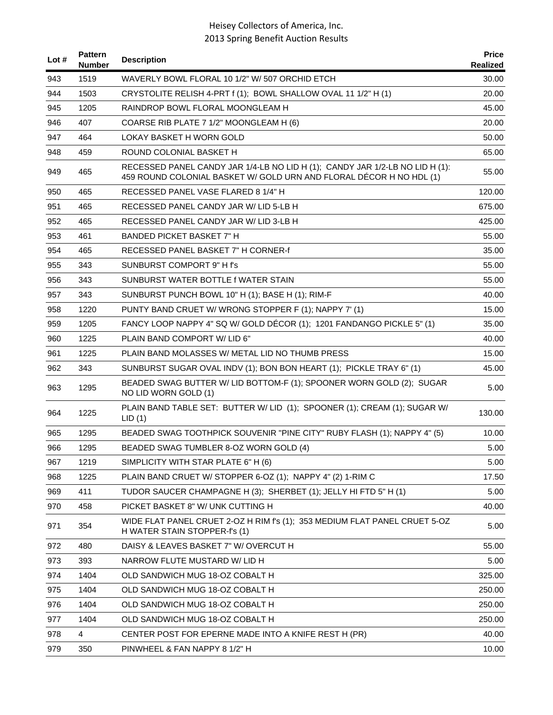| Lot $#$ | <b>Pattern</b><br><b>Number</b> | <b>Description</b>                                                                                                                                  | <b>Price</b><br>Realized |
|---------|---------------------------------|-----------------------------------------------------------------------------------------------------------------------------------------------------|--------------------------|
| 943     | 1519                            | WAVERLY BOWL FLORAL 10 1/2" W/ 507 ORCHID ETCH                                                                                                      | 30.00                    |
| 944     | 1503                            | CRYSTOLITE RELISH 4-PRT f (1); BOWL SHALLOW OVAL 11 1/2" H (1)                                                                                      | 20.00                    |
| 945     | 1205                            | RAINDROP BOWL FLORAL MOONGLEAM H                                                                                                                    | 45.00                    |
| 946     | 407                             | COARSE RIB PLATE 7 1/2" MOONGLEAM H (6)                                                                                                             | 20.00                    |
| 947     | 464                             | LOKAY BASKET H WORN GOLD                                                                                                                            | 50.00                    |
| 948     | 459                             | ROUND COLONIAL BASKET H                                                                                                                             | 65.00                    |
| 949     | 465                             | RECESSED PANEL CANDY JAR 1/4-LB NO LID H (1); CANDY JAR 1/2-LB NO LID H (1):<br>459 ROUND COLONIAL BASKET W/ GOLD URN AND FLORAL DÉCOR H NO HDL (1) | 55.00                    |
| 950     | 465                             | RECESSED PANEL VASE FLARED 8 1/4" H                                                                                                                 | 120.00                   |
| 951     | 465                             | RECESSED PANEL CANDY JAR W/ LID 5-LB H                                                                                                              | 675.00                   |
| 952     | 465                             | RECESSED PANEL CANDY JAR W/ LID 3-LB H                                                                                                              | 425.00                   |
| 953     | 461                             | <b>BANDED PICKET BASKET 7" H</b>                                                                                                                    | 55.00                    |
| 954     | 465                             | RECESSED PANEL BASKET 7" H CORNER-f                                                                                                                 | 35.00                    |
| 955     | 343                             | SUNBURST COMPORT 9" H f's                                                                                                                           | 55.00                    |
| 956     | 343                             | SUNBURST WATER BOTTLE f WATER STAIN                                                                                                                 | 55.00                    |
| 957     | 343                             | SUNBURST PUNCH BOWL 10" H (1); BASE H (1); RIM-F                                                                                                    | 40.00                    |
| 958     | 1220                            | PUNTY BAND CRUET W/WRONG STOPPER F (1); NAPPY 7' (1)                                                                                                | 15.00                    |
| 959     | 1205                            | FANCY LOOP NAPPY 4" SQ W/ GOLD DÉCOR (1); 1201 FANDANGO PICKLE 5" (1)                                                                               | 35.00                    |
| 960     | 1225                            | PLAIN BAND COMPORT W/LID 6"                                                                                                                         | 40.00                    |
| 961     | 1225                            | PLAIN BAND MOLASSES W/ METAL LID NO THUMB PRESS                                                                                                     | 15.00                    |
| 962     | 343                             | SUNBURST SUGAR OVAL INDV (1); BON BON HEART (1); PICKLE TRAY 6" (1)                                                                                 | 45.00                    |
| 963     | 1295                            | BEADED SWAG BUTTER W/ LID BOTTOM-F (1); SPOONER WORN GOLD (2); SUGAR<br>NO LID WORN GOLD (1)                                                        | 5.00                     |
| 964     | 1225                            | PLAIN BAND TABLE SET: BUTTER W/ LID (1); SPOONER (1); CREAM (1); SUGAR W/<br>LID(1)                                                                 | 130.00                   |
| 965     | 1295                            | BEADED SWAG TOOTHPICK SOUVENIR "PINE CITY" RUBY FLASH (1); NAPPY 4" (5)                                                                             | 10.00                    |
| 966     | 1295                            | BEADED SWAG TUMBLER 8-OZ WORN GOLD (4)                                                                                                              | 5.00                     |
| 967     | 1219                            | SIMPLICITY WITH STAR PLATE 6" H (6)                                                                                                                 | 5.00                     |
| 968     | 1225                            | PLAIN BAND CRUET W/ STOPPER 6-OZ (1); NAPPY 4" (2) 1-RIM C                                                                                          | 17.50                    |
| 969     | 411                             | TUDOR SAUCER CHAMPAGNE H (3); SHERBET (1); JELLY HI FTD 5" H (1)                                                                                    | 5.00                     |
| 970     | 458                             | PICKET BASKET 8" W/ UNK CUTTING H                                                                                                                   | 40.00                    |
| 971     | 354                             | WIDE FLAT PANEL CRUET 2-OZ H RIM f's (1); 353 MEDIUM FLAT PANEL CRUET 5-OZ<br>H WATER STAIN STOPPER-f's (1)                                         | 5.00                     |
| 972     | 480                             | DAISY & LEAVES BASKET 7" W/ OVERCUT H                                                                                                               | 55.00                    |
| 973     | 393                             | NARROW FLUTE MUSTARD W/ LID H                                                                                                                       | 5.00                     |
| 974     | 1404                            | OLD SANDWICH MUG 18-OZ COBALT H                                                                                                                     | 325.00                   |
| 975     | 1404                            | OLD SANDWICH MUG 18-OZ COBALT H                                                                                                                     | 250.00                   |
| 976     | 1404                            | OLD SANDWICH MUG 18-OZ COBALT H                                                                                                                     | 250.00                   |
| 977     | 1404                            | OLD SANDWICH MUG 18-OZ COBALT H                                                                                                                     | 250.00                   |
| 978     | 4                               | CENTER POST FOR EPERNE MADE INTO A KNIFE REST H (PR)                                                                                                | 40.00                    |
| 979     | 350                             | PINWHEEL & FAN NAPPY 8 1/2" H                                                                                                                       | 10.00                    |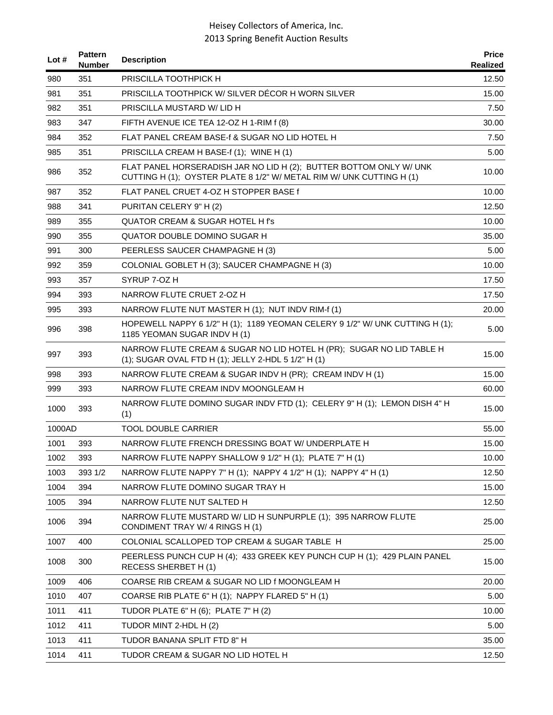| Lot $#$ | <b>Pattern</b><br><b>Number</b> | <b>Description</b>                                                                                                                         | <b>Price</b><br>Realized |
|---------|---------------------------------|--------------------------------------------------------------------------------------------------------------------------------------------|--------------------------|
| 980     | 351                             | PRISCILLA TOOTHPICK H                                                                                                                      | 12.50                    |
| 981     | 351                             | PRISCILLA TOOTHPICK W/ SILVER DÉCOR H WORN SILVER                                                                                          | 15.00                    |
| 982     | 351                             | PRISCILLA MUSTARD W/LID H                                                                                                                  | 7.50                     |
| 983     | 347                             | FIFTH AVENUE ICE TEA 12-OZ H 1-RIM f (8)                                                                                                   | 30.00                    |
| 984     | 352                             | FLAT PANEL CREAM BASE-f & SUGAR NO LID HOTEL H                                                                                             | 7.50                     |
| 985     | 351                             | PRISCILLA CREAM H BASE-f (1); WINE H (1)                                                                                                   | 5.00                     |
| 986     | 352                             | FLAT PANEL HORSERADISH JAR NO LID H (2); BUTTER BOTTOM ONLY W/ UNK<br>CUTTING H (1); OYSTER PLATE 8 1/2" W/ METAL RIM W/ UNK CUTTING H (1) | 10.00                    |
| 987     | 352                             | FLAT PANEL CRUET 4-OZ H STOPPER BASE f                                                                                                     | 10.00                    |
| 988     | 341                             | PURITAN CELERY 9" H (2)                                                                                                                    | 12.50                    |
| 989     | 355                             | QUATOR CREAM & SUGAR HOTEL H f's                                                                                                           | 10.00                    |
| 990     | 355                             | QUATOR DOUBLE DOMINO SUGAR H                                                                                                               | 35.00                    |
| 991     | 300                             | PEERLESS SAUCER CHAMPAGNE H (3)                                                                                                            | 5.00                     |
| 992     | 359                             | COLONIAL GOBLET H (3); SAUCER CHAMPAGNE H (3)                                                                                              | 10.00                    |
| 993     | 357                             | SYRUP 7-OZ H                                                                                                                               | 17.50                    |
| 994     | 393                             | NARROW FLUTE CRUET 2-OZ H                                                                                                                  | 17.50                    |
| 995     | 393                             | NARROW FLUTE NUT MASTER H (1); NUT INDV RIM-f (1)                                                                                          | 20.00                    |
| 996     | 398                             | HOPEWELL NAPPY 6 1/2" H (1); 1189 YEOMAN CELERY 9 1/2" W/ UNK CUTTING H (1);<br>1185 YEOMAN SUGAR INDV H (1)                               | 5.00                     |
| 997     | 393                             | NARROW FLUTE CREAM & SUGAR NO LID HOTEL H (PR); SUGAR NO LID TABLE H<br>(1); SUGAR OVAL FTD H (1); JELLY 2-HDL 5 1/2" H (1)                | 15.00                    |
| 998     | 393                             | NARROW FLUTE CREAM & SUGAR INDV H (PR); CREAM INDV H (1)                                                                                   | 15.00                    |
| 999     | 393                             | NARROW FLUTE CREAM INDV MOONGLEAM H                                                                                                        | 60.00                    |
| 1000    | 393                             | NARROW FLUTE DOMINO SUGAR INDV FTD (1); CELERY 9" H (1); LEMON DISH 4" H<br>(1)                                                            | 15.00                    |
| 1000AD  |                                 | <b>TOOL DOUBLE CARRIER</b>                                                                                                                 | 55.00                    |
| 1001    | 393                             | NARROW FLUTE FRENCH DRESSING BOAT W/ UNDERPLATE H                                                                                          | 15.00                    |
| 1002    | 393                             | NARROW FLUTE NAPPY SHALLOW 9 1/2" H (1); PLATE 7" H (1)                                                                                    | 10.00                    |
| 1003    | 393 1/2                         | NARROW FLUTE NAPPY 7" H (1); NAPPY 4 1/2" H (1); NAPPY 4" H (1)                                                                            | 12.50                    |
| 1004    | 394                             | NARROW FLUTE DOMINO SUGAR TRAY H                                                                                                           | 15.00                    |
| 1005    | 394                             | NARROW FLUTE NUT SALTED H                                                                                                                  | 12.50                    |
| 1006    | 394                             | NARROW FLUTE MUSTARD W/ LID H SUNPURPLE (1); 395 NARROW FLUTE<br>CONDIMENT TRAY W/ 4 RINGS H (1)                                           | 25.00                    |
| 1007    | 400                             | COLONIAL SCALLOPED TOP CREAM & SUGAR TABLE H                                                                                               | 25.00                    |
| 1008    | 300                             | PEERLESS PUNCH CUP H (4); 433 GREEK KEY PUNCH CUP H (1); 429 PLAIN PANEL<br>RECESS SHERBET H(1)                                            | 15.00                    |
| 1009    | 406                             | COARSE RIB CREAM & SUGAR NO LID f MOONGLEAM H                                                                                              | 20.00                    |
| 1010    | 407                             | COARSE RIB PLATE 6" H (1); NAPPY FLARED 5" H (1)                                                                                           | 5.00                     |
| 1011    | 411                             | TUDOR PLATE 6" H (6); PLATE 7" H (2)                                                                                                       | 10.00                    |
| 1012    | 411                             | TUDOR MINT 2-HDL H (2)                                                                                                                     | 5.00                     |
| 1013    | 411                             | TUDOR BANANA SPLIT FTD 8" H                                                                                                                | 35.00                    |
| 1014    | 411                             | TUDOR CREAM & SUGAR NO LID HOTEL H                                                                                                         | 12.50                    |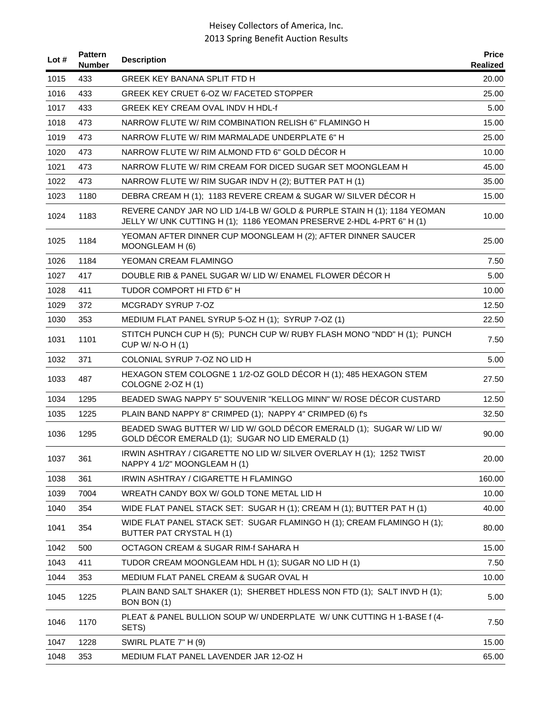| Lot $#$ | <b>Pattern</b><br>Number | <b>Description</b>                                                                                                                                | <b>Price</b><br>Realized |
|---------|--------------------------|---------------------------------------------------------------------------------------------------------------------------------------------------|--------------------------|
| 1015    | 433                      | GREEK KEY BANANA SPLIT FTD H                                                                                                                      | 20.00                    |
| 1016    | 433                      | GREEK KEY CRUET 6-OZ W/ FACETED STOPPER                                                                                                           | 25.00                    |
| 1017    | 433                      | <b>GREEK KEY CREAM OVAL INDV H HDL-f</b>                                                                                                          | 5.00                     |
| 1018    | 473                      | NARROW FLUTE W/ RIM COMBINATION RELISH 6" FLAMINGO H                                                                                              | 15.00                    |
| 1019    | 473                      | NARROW FLUTE W/ RIM MARMALADE UNDERPLATE 6" H                                                                                                     | 25.00                    |
| 1020    | 473                      | NARROW FLUTE W/ RIM ALMOND FTD 6" GOLD DECOR H                                                                                                    | 10.00                    |
| 1021    | 473                      | NARROW FLUTE W/ RIM CREAM FOR DICED SUGAR SET MOONGLEAM H                                                                                         | 45.00                    |
| 1022    | 473                      | NARROW FLUTE W/ RIM SUGAR INDV H (2); BUTTER PAT H (1)                                                                                            | 35.00                    |
| 1023    | 1180                     | DEBRA CREAM H (1); 1183 REVERE CREAM & SUGAR W/ SILVER DÉCOR H                                                                                    | 15.00                    |
| 1024    | 1183                     | REVERE CANDY JAR NO LID 1/4-LB W/ GOLD & PURPLE STAIN H (1); 1184 YEOMAN<br>JELLY W/ UNK CUTTING H (1); 1186 YEOMAN PRESERVE 2-HDL 4-PRT 6" H (1) | 10.00                    |
| 1025    | 1184                     | YEOMAN AFTER DINNER CUP MOONGLEAM H (2); AFTER DINNER SAUCER<br>MOONGLEAM H (6)                                                                   | 25.00                    |
| 1026    | 1184                     | YEOMAN CREAM FLAMINGO                                                                                                                             | 7.50                     |
| 1027    | 417                      | DOUBLE RIB & PANEL SUGAR W/ LID W/ ENAMEL FLOWER DÉCOR H                                                                                          | 5.00                     |
| 1028    | 411                      | TUDOR COMPORT HI FTD 6" H                                                                                                                         | 10.00                    |
| 1029    | 372                      | MCGRADY SYRUP 7-OZ                                                                                                                                | 12.50                    |
| 1030    | 353                      | MEDIUM FLAT PANEL SYRUP 5-OZ H (1); SYRUP 7-OZ (1)                                                                                                | 22.50                    |
| 1031    | 1101                     | STITCH PUNCH CUP H (5); PUNCH CUP W/ RUBY FLASH MONO "NDD" H (1); PUNCH<br>CUP W/ N-O H (1)                                                       | 7.50                     |
| 1032    | 371                      | COLONIAL SYRUP 7-OZ NO LID H                                                                                                                      | 5.00                     |
| 1033    | 487                      | HEXAGON STEM COLOGNE 1 1/2-OZ GOLD DÉCOR H (1); 485 HEXAGON STEM<br>COLOGNE 2-OZ H (1)                                                            | 27.50                    |
| 1034    | 1295                     | BEADED SWAG NAPPY 5" SOUVENIR "KELLOG MINN" W/ ROSE DÉCOR CUSTARD                                                                                 | 12.50                    |
| 1035    | 1225                     | PLAIN BAND NAPPY 8" CRIMPED (1); NAPPY 4" CRIMPED (6) f's                                                                                         | 32.50                    |
| 1036    | 1295                     | BEADED SWAG BUTTER W/ LID W/ GOLD DÉCOR EMERALD (1); SUGAR W/ LID W/<br>GOLD DÉCOR EMERALD (1); SUGAR NO LID EMERALD (1)                          | 90.00                    |
| 1037    | 361                      | IRWIN ASHTRAY / CIGARETTE NO LID W/ SILVER OVERLAY H (1); 1252 TWIST<br>NAPPY 4 1/2" MOONGLEAM H (1)                                              | 20.00                    |
| 1038    | 361                      | IRWIN ASHTRAY / CIGARETTE H FLAMINGO                                                                                                              | 160.00                   |
| 1039    | 7004                     | WREATH CANDY BOX W/ GOLD TONE METAL LID H                                                                                                         | 10.00                    |
| 1040    | 354                      | WIDE FLAT PANEL STACK SET: SUGAR H (1); CREAM H (1); BUTTER PAT H (1)                                                                             | 40.00                    |
| 1041    | 354                      | WIDE FLAT PANEL STACK SET: SUGAR FLAMINGO H (1); CREAM FLAMINGO H (1);<br>BUTTER PAT CRYSTAL H (1)                                                | 80.00                    |
| 1042    | 500                      | OCTAGON CREAM & SUGAR RIM-f SAHARA H                                                                                                              | 15.00                    |
| 1043    | 411                      | TUDOR CREAM MOONGLEAM HDL H (1); SUGAR NO LID H (1)                                                                                               | 7.50                     |
| 1044    | 353                      | MEDIUM FLAT PANEL CREAM & SUGAR OVAL H                                                                                                            | 10.00                    |
| 1045    | 1225                     | PLAIN BAND SALT SHAKER (1); SHERBET HDLESS NON FTD (1); SALT INVD H (1);<br>BON BON (1)                                                           | 5.00                     |
| 1046    | 1170                     | PLEAT & PANEL BULLION SOUP W/ UNDERPLATE W/ UNK CUTTING H 1-BASE f (4-<br>SETS)                                                                   | 7.50                     |
| 1047    | 1228                     | SWIRL PLATE 7" H (9)                                                                                                                              | 15.00                    |
| 1048    | 353                      | MEDIUM FLAT PANEL LAVENDER JAR 12-OZ H                                                                                                            | 65.00                    |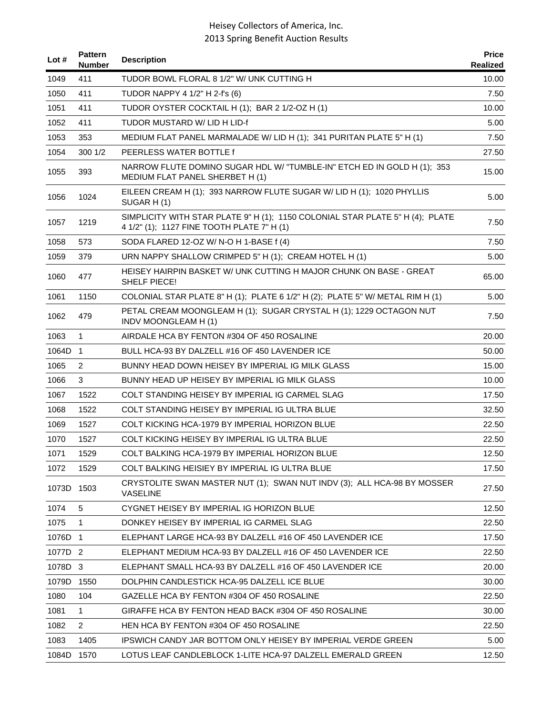| Lot $#$    | <b>Pattern</b><br><b>Number</b> | <b>Description</b>                                                                                                          | <b>Price</b><br><b>Realized</b> |
|------------|---------------------------------|-----------------------------------------------------------------------------------------------------------------------------|---------------------------------|
| 1049       | 411                             | TUDOR BOWL FLORAL 8 1/2" W/ UNK CUTTING H                                                                                   | 10.00                           |
| 1050       | 411                             | TUDOR NAPPY 4 1/2" H 2-f's (6)                                                                                              | 7.50                            |
| 1051       | 411                             | TUDOR OYSTER COCKTAIL H (1); BAR 2 1/2-OZ H (1)                                                                             | 10.00                           |
| 1052       | 411                             | TUDOR MUSTARD W/LID H LID-f                                                                                                 | 5.00                            |
| 1053       | 353                             | MEDIUM FLAT PANEL MARMALADE W/ LID H (1); 341 PURITAN PLATE 5" H (1)                                                        | 7.50                            |
| 1054       | 300 1/2                         | PEERLESS WATER BOTTLE f                                                                                                     | 27.50                           |
| 1055       | 393                             | NARROW FLUTE DOMINO SUGAR HDL W/ "TUMBLE-IN" ETCH ED IN GOLD H (1); 353<br>MEDIUM FLAT PANEL SHERBET H (1)                  | 15.00                           |
| 1056       | 1024                            | EILEEN CREAM H (1); 393 NARROW FLUTE SUGAR W/ LID H (1); 1020 PHYLLIS<br>SUGAR H(1)                                         | 5.00                            |
| 1057       | 1219                            | SIMPLICITY WITH STAR PLATE 9" H (1); 1150 COLONIAL STAR PLATE 5" H (4); PLATE<br>4 1/2" (1); 1127 FINE TOOTH PLATE 7" H (1) | 7.50                            |
| 1058       | 573                             | SODA FLARED 12-OZ W/N-O H 1-BASE f (4)                                                                                      | 7.50                            |
| 1059       | 379                             | URN NAPPY SHALLOW CRIMPED 5" H (1); CREAM HOTEL H (1)                                                                       | 5.00                            |
| 1060       | 477                             | HEISEY HAIRPIN BASKET W/ UNK CUTTING H MAJOR CHUNK ON BASE - GREAT<br>SHELF PIECE!                                          | 65.00                           |
| 1061       | 1150                            | COLONIAL STAR PLATE 8" H (1); PLATE 6 1/2" H (2); PLATE 5" W/ METAL RIM H (1)                                               | 5.00                            |
| 1062       | 479                             | PETAL CREAM MOONGLEAM H (1); SUGAR CRYSTAL H (1); 1229 OCTAGON NUT<br>INDV MOONGLEAM H (1)                                  | 7.50                            |
| 1063       | 1                               | AIRDALE HCA BY FENTON #304 OF 450 ROSALINE                                                                                  | 20.00                           |
| 1064D      | $\overline{1}$                  | BULL HCA-93 BY DALZELL #16 OF 450 LAVENDER ICE                                                                              | 50.00                           |
| 1065       | $\overline{2}$                  | BUNNY HEAD DOWN HEISEY BY IMPERIAL IG MILK GLASS                                                                            | 15.00                           |
| 1066       | 3                               | BUNNY HEAD UP HEISEY BY IMPERIAL IG MILK GLASS                                                                              | 10.00                           |
| 1067       | 1522                            | COLT STANDING HEISEY BY IMPERIAL IG CARMEL SLAG                                                                             | 17.50                           |
| 1068       | 1522                            | COLT STANDING HEISEY BY IMPERIAL IG ULTRA BLUE                                                                              | 32.50                           |
| 1069       | 1527                            | COLT KICKING HCA-1979 BY IMPERIAL HORIZON BLUE                                                                              | 22.50                           |
| 1070       | 1527                            | COLT KICKING HEISEY BY IMPERIAL IG ULTRA BLUE                                                                               | 22.50                           |
| 1071       | 1529                            | COLT BALKING HCA-1979 BY IMPERIAL HORIZON BLUE                                                                              | 12.50                           |
| 1072       | 1529                            | COLT BALKING HEISIEY BY IMPERIAL IG ULTRA BLUE                                                                              | 17.50                           |
| 1073D      | 1503                            | CRYSTOLITE SWAN MASTER NUT (1); SWAN NUT INDV (3); ALL HCA-98 BY MOSSER<br><b>VASELINE</b>                                  | 27.50                           |
| 1074       | 5                               | CYGNET HEISEY BY IMPERIAL IG HORIZON BLUE                                                                                   | 12.50                           |
| 1075       | 1                               | DONKEY HEISEY BY IMPERIAL IG CARMEL SLAG                                                                                    | 22.50                           |
| 1076D 1    |                                 | ELEPHANT LARGE HCA-93 BY DALZELL #16 OF 450 LAVENDER ICE                                                                    | 17.50                           |
| 1077D 2    |                                 | ELEPHANT MEDIUM HCA-93 BY DALZELL #16 OF 450 LAVENDER ICE                                                                   | 22.50                           |
| 1078D      | $\mathbf{3}$                    | ELEPHANT SMALL HCA-93 BY DALZELL #16 OF 450 LAVENDER ICE                                                                    | 20.00                           |
| 1079D      | 1550                            | DOLPHIN CANDLESTICK HCA-95 DALZELL ICE BLUE                                                                                 | 30.00                           |
| 1080       | 104                             | GAZELLE HCA BY FENTON #304 OF 450 ROSALINE                                                                                  | 22.50                           |
| 1081       | 1                               | GIRAFFE HCA BY FENTON HEAD BACK #304 OF 450 ROSALINE                                                                        | 30.00                           |
| 1082       | $\overline{2}$                  | HEN HCA BY FENTON #304 OF 450 ROSALINE                                                                                      | 22.50                           |
| 1083       | 1405                            | IPSWICH CANDY JAR BOTTOM ONLY HEISEY BY IMPERIAL VERDE GREEN                                                                | 5.00                            |
| 1084D 1570 |                                 | LOTUS LEAF CANDLEBLOCK 1-LITE HCA-97 DALZELL EMERALD GREEN                                                                  | 12.50                           |